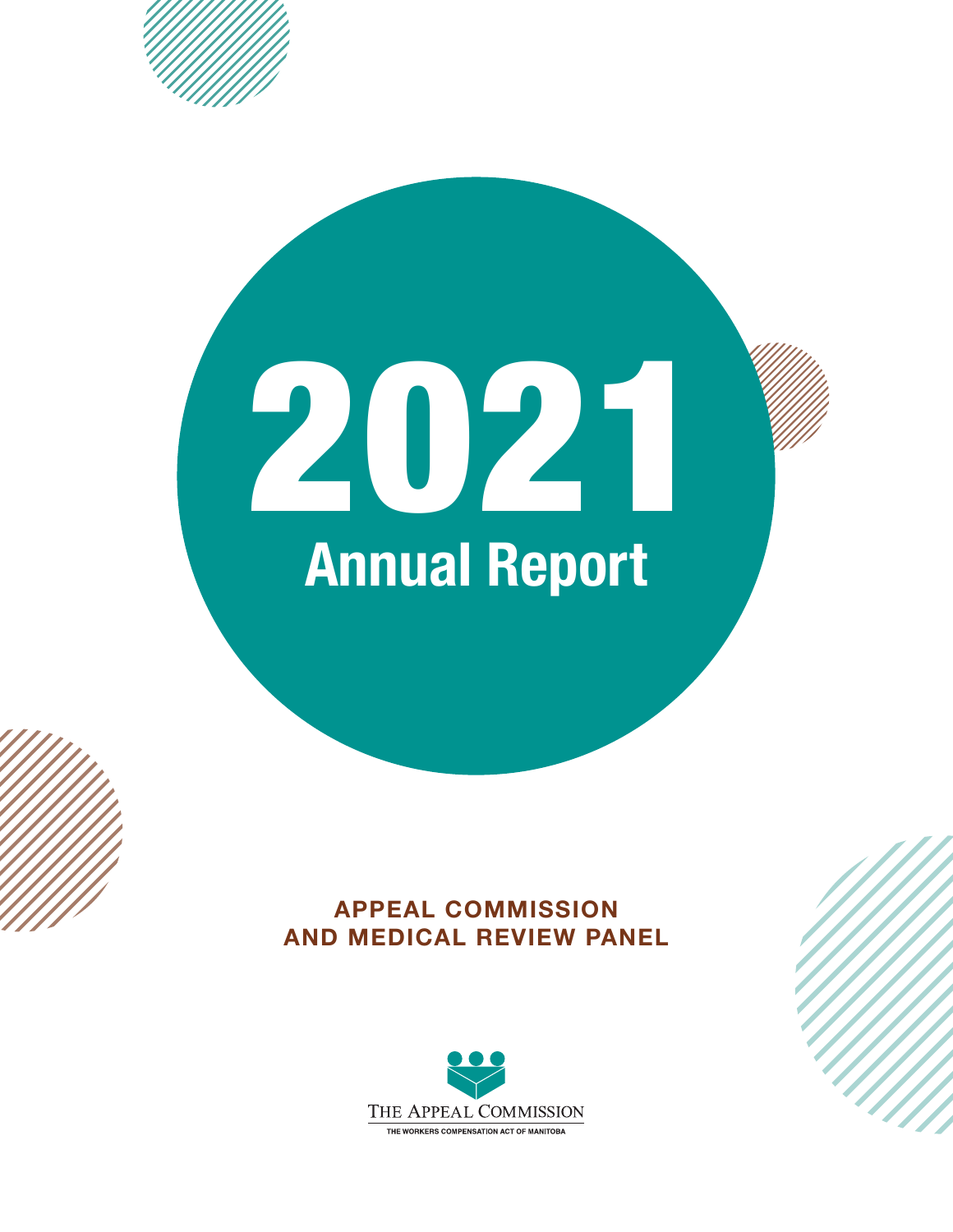

**APPEAL COMMISSION AND MEDICAL REVIEW PANEL**

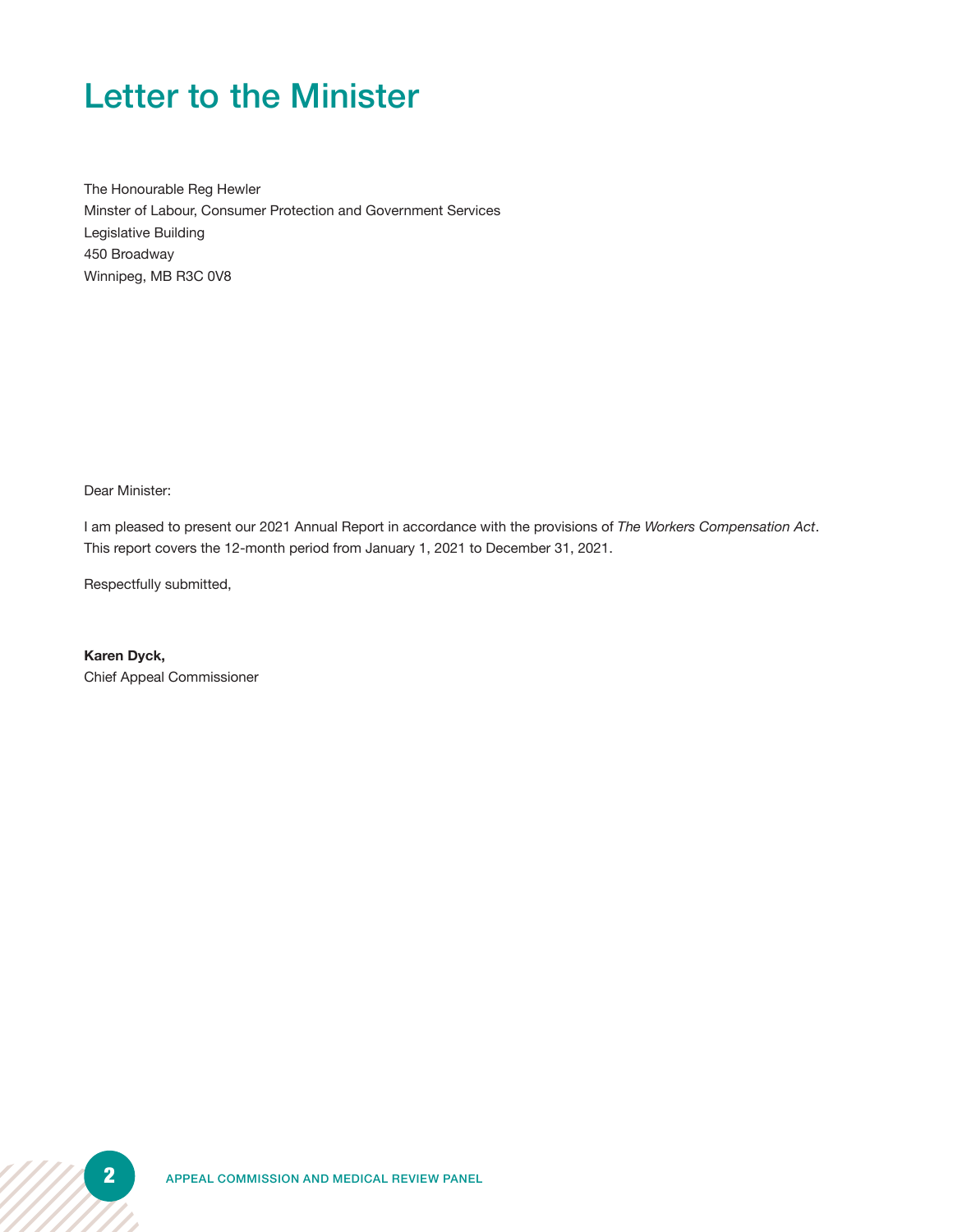## Letter to the Minister

The Honourable Reg Hewler Minster of Labour, Consumer Protection and Government Services Legislative Building 450 Broadway Winnipeg, MB R3C 0V8

Dear Minister:

I am pleased to present our 2021 Annual Report in accordance with the provisions of *The Workers Compensation Act*. This report covers the 12-month period from January 1, 2021 to December 31, 2021.

Respectfully submitted,

**Karen Dyck,** Chief Appeal Commissioner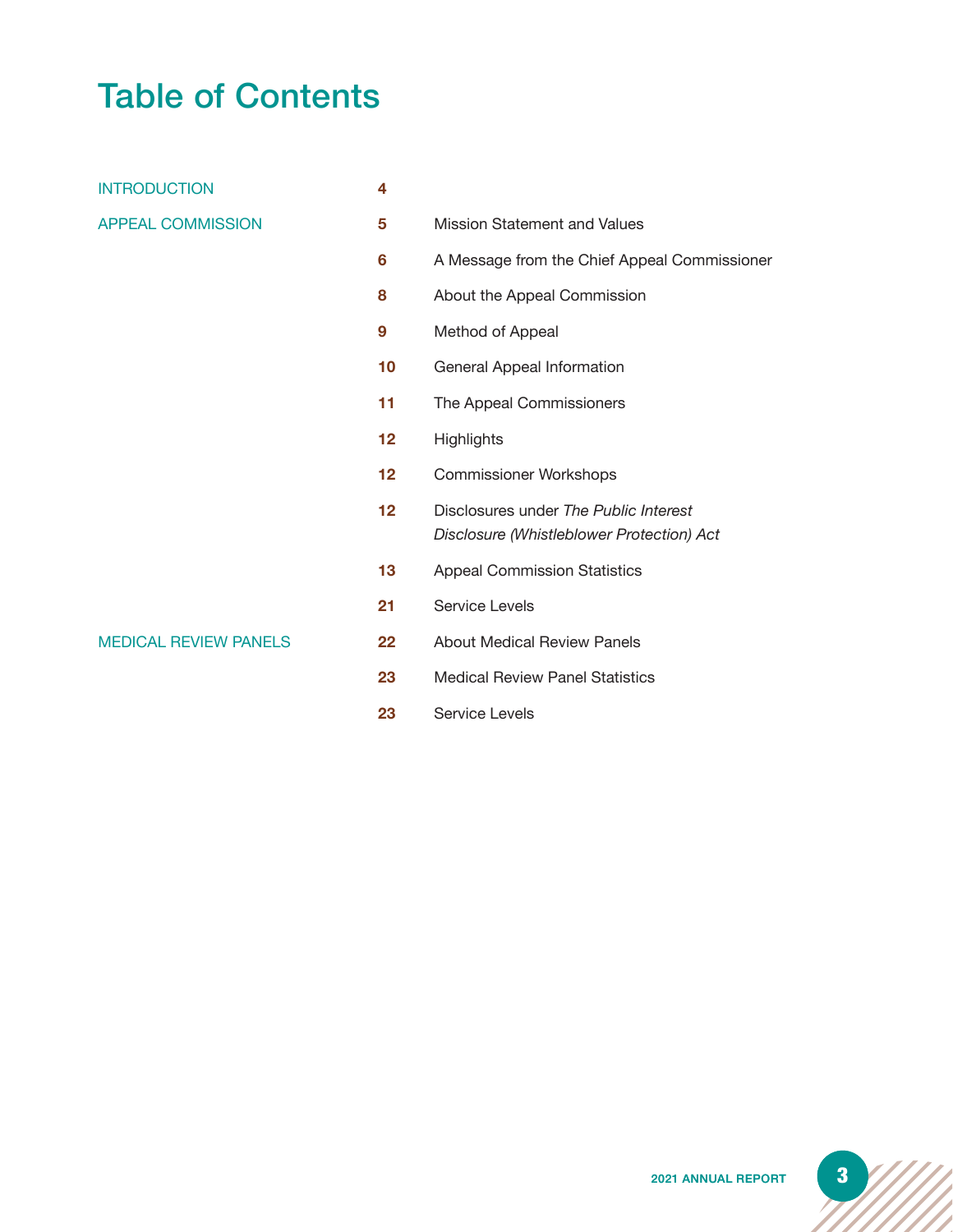# Table of Contents

| <b>INTRODUCTION</b>          | 4  |                                                                                    |
|------------------------------|----|------------------------------------------------------------------------------------|
| <b>APPEAL COMMISSION</b>     | 5  | <b>Mission Statement and Values</b>                                                |
|                              | 6  | A Message from the Chief Appeal Commissioner                                       |
|                              | 8  | About the Appeal Commission                                                        |
|                              | 9  | Method of Appeal                                                                   |
|                              | 10 | General Appeal Information                                                         |
|                              | 11 | The Appeal Commissioners                                                           |
|                              | 12 | <b>Highlights</b>                                                                  |
|                              | 12 | <b>Commissioner Workshops</b>                                                      |
|                              | 12 | Disclosures under The Public Interest<br>Disclosure (Whistleblower Protection) Act |
|                              | 13 | <b>Appeal Commission Statistics</b>                                                |
|                              | 21 | Service Levels                                                                     |
| <b>MEDICAL REVIEW PANELS</b> | 22 | <b>About Medical Review Panels</b>                                                 |
|                              | 23 | <b>Medical Review Panel Statistics</b>                                             |

**23** Service Levels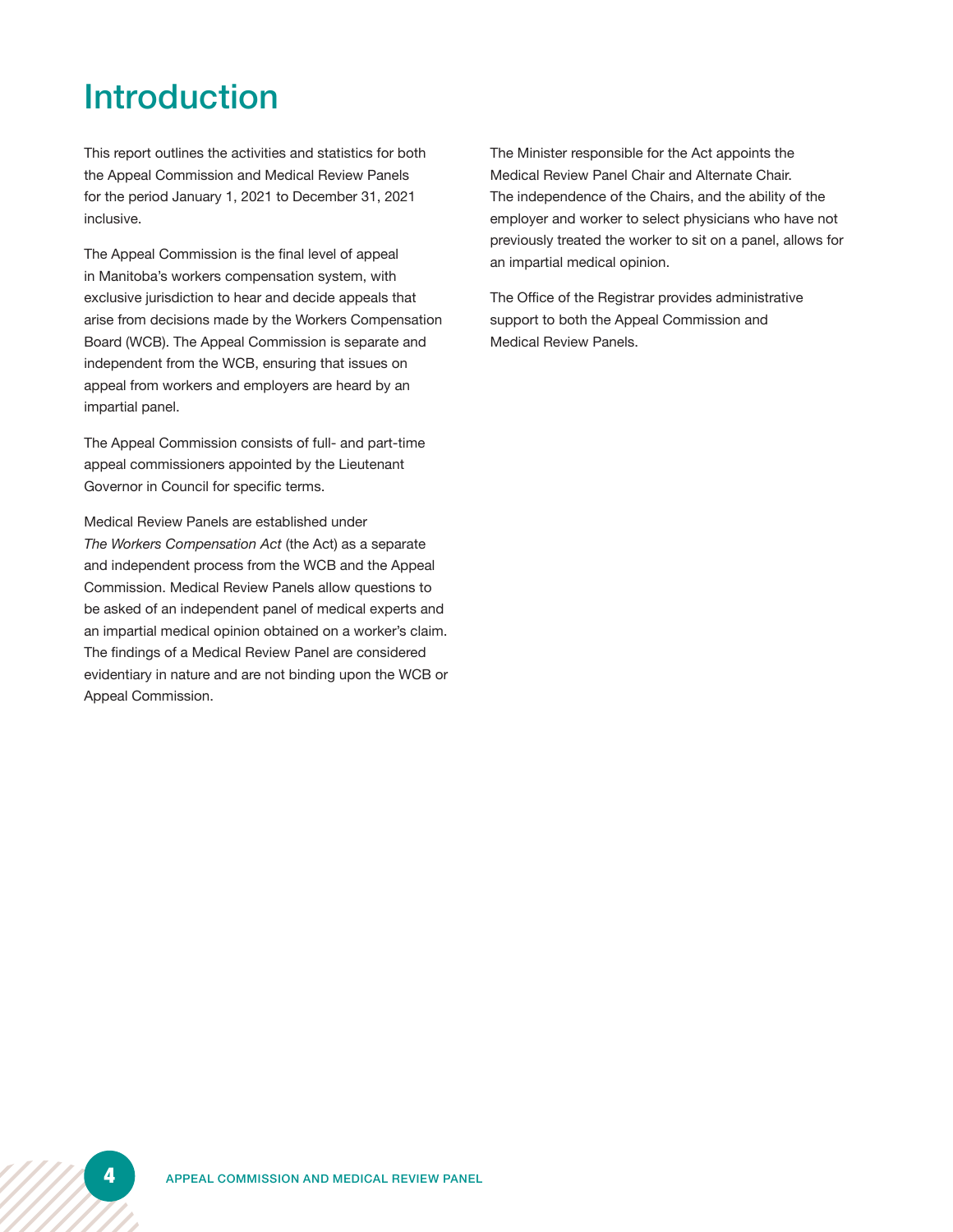## Introduction

This report outlines the activities and statistics for both the Appeal Commission and Medical Review Panels for the period January 1, 2021 to December 31, 2021 inclusive.

The Appeal Commission is the final level of appeal in Manitoba's workers compensation system, with exclusive jurisdiction to hear and decide appeals that arise from decisions made by the Workers Compensation Board (WCB). The Appeal Commission is separate and independent from the WCB, ensuring that issues on appeal from workers and employers are heard by an impartial panel.

The Appeal Commission consists of full- and part-time appeal commissioners appointed by the Lieutenant Governor in Council for specific terms.

Medical Review Panels are established under *The Workers Compensation Act* (the Act) as a separate and independent process from the WCB and the Appeal Commission. Medical Review Panels allow questions to be asked of an independent panel of medical experts and an impartial medical opinion obtained on a worker's claim. The findings of a Medical Review Panel are considered evidentiary in nature and are not binding upon the WCB or Appeal Commission.

The Minister responsible for the Act appoints the Medical Review Panel Chair and Alternate Chair. The independence of the Chairs, and the ability of the employer and worker to select physicians who have not previously treated the worker to sit on a panel, allows for an impartial medical opinion.

The Office of the Registrar provides administrative support to both the Appeal Commission and Medical Review Panels.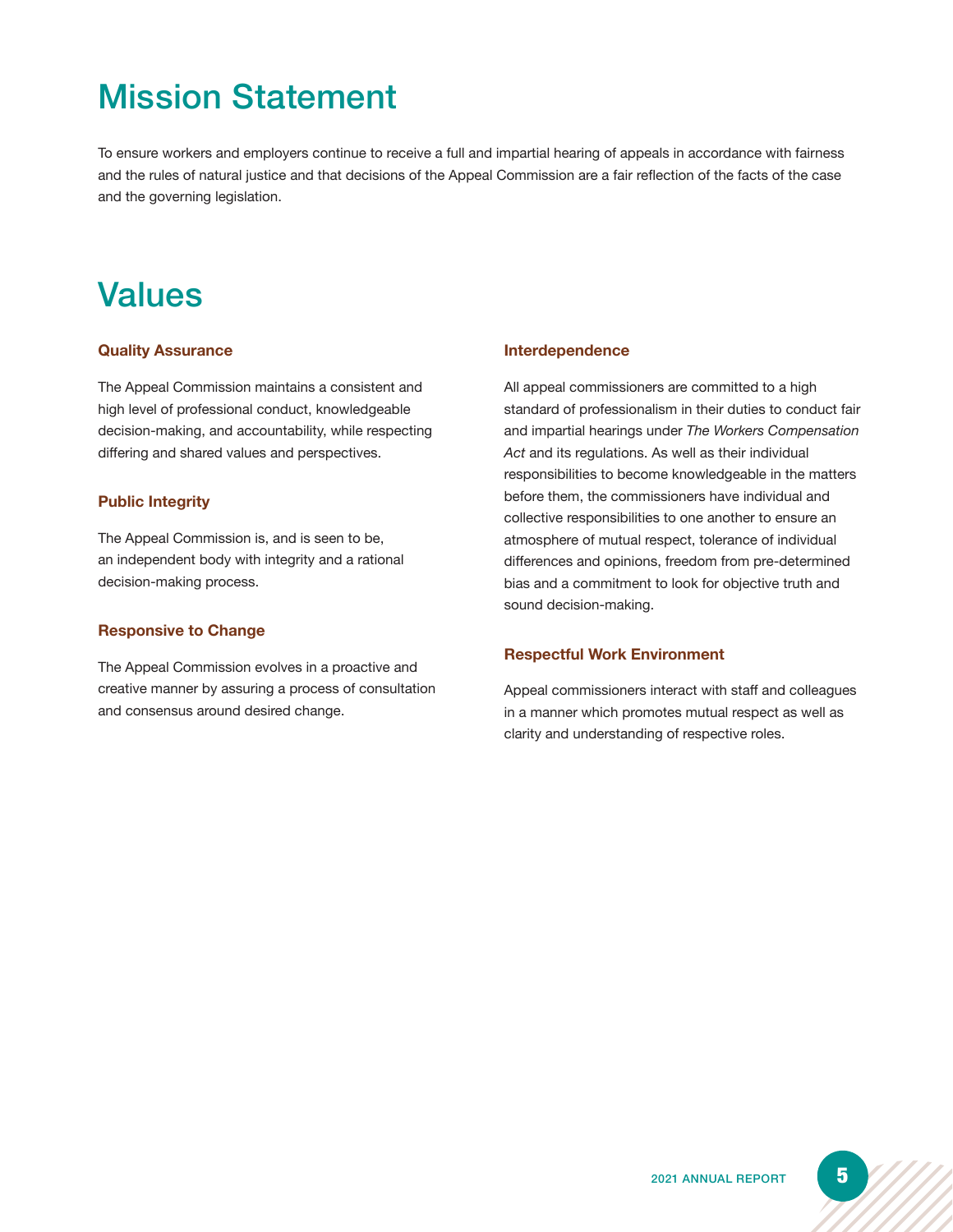# Mission Statement

To ensure workers and employers continue to receive a full and impartial hearing of appeals in accordance with fairness and the rules of natural justice and that decisions of the Appeal Commission are a fair reflection of the facts of the case and the governing legislation.

### Values

#### **Quality Assurance**

The Appeal Commission maintains a consistent and high level of professional conduct, knowledgeable decision-making, and accountability, while respecting differing and shared values and perspectives.

#### **Public Integrity**

The Appeal Commission is, and is seen to be, an independent body with integrity and a rational decision-making process.

#### **Responsive to Change**

The Appeal Commission evolves in a proactive and creative manner by assuring a process of consultation and consensus around desired change.

#### **Interdependence**

All appeal commissioners are committed to a high standard of professionalism in their duties to conduct fair and impartial hearings under *The Workers Compensation Act* and its regulations. As well as their individual responsibilities to become knowledgeable in the matters before them, the commissioners have individual and collective responsibilities to one another to ensure an atmosphere of mutual respect, tolerance of individual differences and opinions, freedom from pre-determined bias and a commitment to look for objective truth and sound decision-making.

#### **Respectful Work Environment**

Appeal commissioners interact with staff and colleagues in a manner which promotes mutual respect as well as clarity and understanding of respective roles.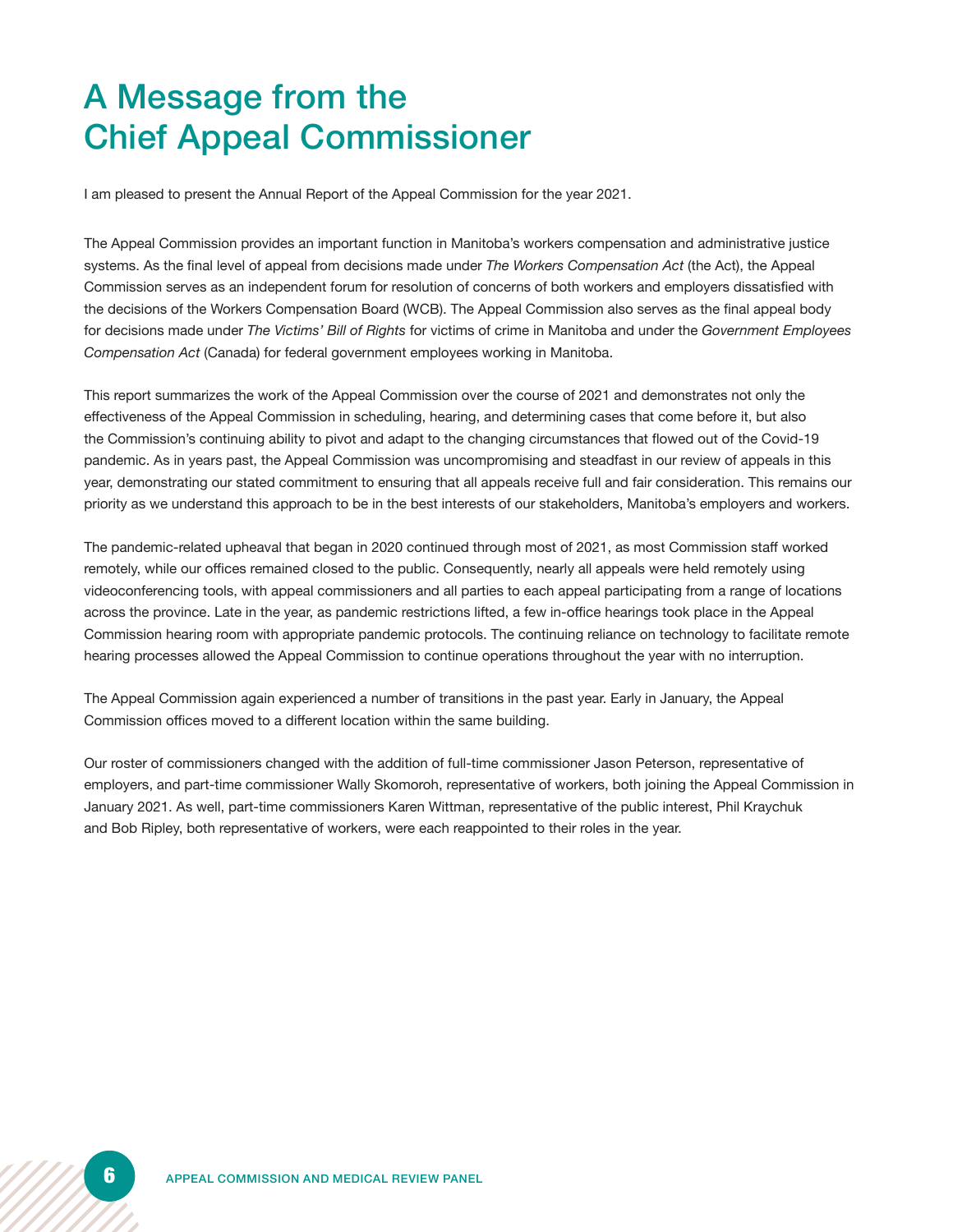# A Message from the Chief Appeal Commissioner

I am pleased to present the Annual Report of the Appeal Commission for the year 2021.

The Appeal Commission provides an important function in Manitoba's workers compensation and administrative justice systems. As the final level of appeal from decisions made under *The Workers Compensation Act* (the Act), the Appeal Commission serves as an independent forum for resolution of concerns of both workers and employers dissatisfied with the decisions of the Workers Compensation Board (WCB). The Appeal Commission also serves as the final appeal body for decisions made under *The Victims' Bill of Rights* for victims of crime in Manitoba and under the *Government Employees Compensation Act* (Canada) for federal government employees working in Manitoba.

This report summarizes the work of the Appeal Commission over the course of 2021 and demonstrates not only the effectiveness of the Appeal Commission in scheduling, hearing, and determining cases that come before it, but also the Commission's continuing ability to pivot and adapt to the changing circumstances that flowed out of the Covid-19 pandemic. As in years past, the Appeal Commission was uncompromising and steadfast in our review of appeals in this year, demonstrating our stated commitment to ensuring that all appeals receive full and fair consideration. This remains our priority as we understand this approach to be in the best interests of our stakeholders, Manitoba's employers and workers.

The pandemic-related upheaval that began in 2020 continued through most of 2021, as most Commission staff worked remotely, while our offices remained closed to the public. Consequently, nearly all appeals were held remotely using videoconferencing tools, with appeal commissioners and all parties to each appeal participating from a range of locations across the province. Late in the year, as pandemic restrictions lifted, a few in-office hearings took place in the Appeal Commission hearing room with appropriate pandemic protocols. The continuing reliance on technology to facilitate remote hearing processes allowed the Appeal Commission to continue operations throughout the year with no interruption.

The Appeal Commission again experienced a number of transitions in the past year. Early in January, the Appeal Commission offices moved to a different location within the same building.

Our roster of commissioners changed with the addition of full-time commissioner Jason Peterson, representative of employers, and part-time commissioner Wally Skomoroh, representative of workers, both joining the Appeal Commission in January 2021. As well, part-time commissioners Karen Wittman, representative of the public interest, Phil Kraychuk and Bob Ripley, both representative of workers, were each reappointed to their roles in the year.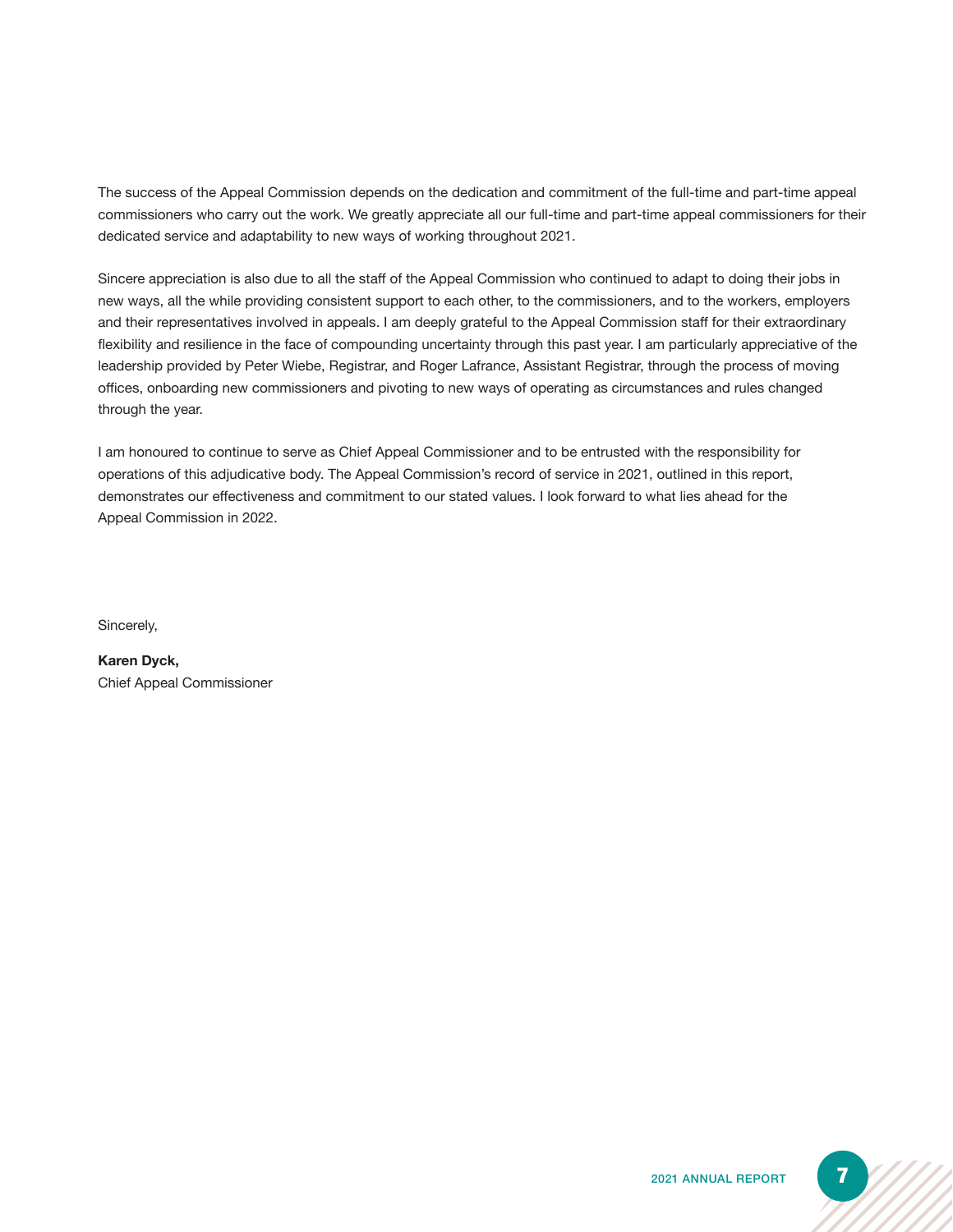The success of the Appeal Commission depends on the dedication and commitment of the full-time and part-time appeal commissioners who carry out the work. We greatly appreciate all our full-time and part-time appeal commissioners for their dedicated service and adaptability to new ways of working throughout 2021.

Sincere appreciation is also due to all the staff of the Appeal Commission who continued to adapt to doing their jobs in new ways, all the while providing consistent support to each other, to the commissioners, and to the workers, employers and their representatives involved in appeals. I am deeply grateful to the Appeal Commission staff for their extraordinary flexibility and resilience in the face of compounding uncertainty through this past year. I am particularly appreciative of the leadership provided by Peter Wiebe, Registrar, and Roger Lafrance, Assistant Registrar, through the process of moving offices, onboarding new commissioners and pivoting to new ways of operating as circumstances and rules changed through the year.

I am honoured to continue to serve as Chief Appeal Commissioner and to be entrusted with the responsibility for operations of this adjudicative body. The Appeal Commission's record of service in 2021, outlined in this report, demonstrates our effectiveness and commitment to our stated values. I look forward to what lies ahead for the Appeal Commission in 2022.

Sincerely,

**Karen Dyck,** Chief Appeal Commissioner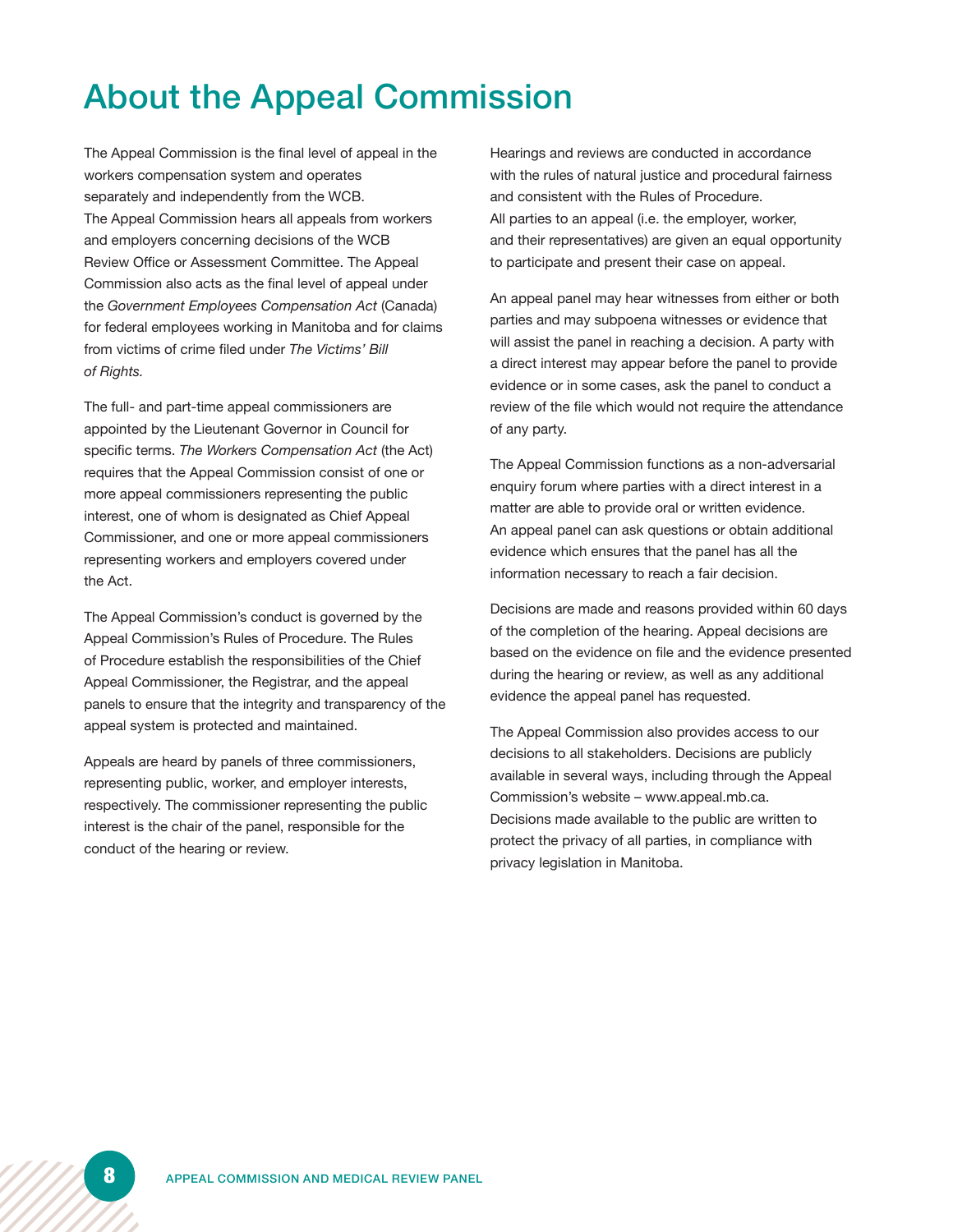# About the Appeal Commission

The Appeal Commission is the final level of appeal in the workers compensation system and operates separately and independently from the WCB. The Appeal Commission hears all appeals from workers and employers concerning decisions of the WCB Review Office or Assessment Committee. The Appeal Commission also acts as the final level of appeal under the *Government Employees Compensation Act* (Canada) for federal employees working in Manitoba and for claims from victims of crime filed under *The Victims' Bill of Rights.*

The full- and part-time appeal commissioners are appointed by the Lieutenant Governor in Council for specific terms. *The Workers Compensation Act* (the Act) requires that the Appeal Commission consist of one or more appeal commissioners representing the public interest, one of whom is designated as Chief Appeal Commissioner, and one or more appeal commissioners representing workers and employers covered under the Act.

The Appeal Commission's conduct is governed by the Appeal Commission's Rules of Procedure. The Rules of Procedure establish the responsibilities of the Chief Appeal Commissioner, the Registrar, and the appeal panels to ensure that the integrity and transparency of the appeal system is protected and maintained.

Appeals are heard by panels of three commissioners, representing public, worker, and employer interests, respectively. The commissioner representing the public interest is the chair of the panel, responsible for the conduct of the hearing or review.

Hearings and reviews are conducted in accordance with the rules of natural justice and procedural fairness and consistent with the Rules of Procedure. All parties to an appeal (i.e. the employer, worker, and their representatives) are given an equal opportunity to participate and present their case on appeal.

An appeal panel may hear witnesses from either or both parties and may subpoena witnesses or evidence that will assist the panel in reaching a decision. A party with a direct interest may appear before the panel to provide evidence or in some cases, ask the panel to conduct a review of the file which would not require the attendance of any party.

The Appeal Commission functions as a non-adversarial enquiry forum where parties with a direct interest in a matter are able to provide oral or written evidence. An appeal panel can ask questions or obtain additional evidence which ensures that the panel has all the information necessary to reach a fair decision.

Decisions are made and reasons provided within 60 days of the completion of the hearing. Appeal decisions are based on the evidence on file and the evidence presented during the hearing or review, as well as any additional evidence the appeal panel has requested.

The Appeal Commission also provides access to our decisions to all stakeholders. Decisions are publicly available in several ways, including through the Appeal Commission's website – www.appeal.mb.ca. Decisions made available to the public are written to protect the privacy of all parties, in compliance with privacy legislation in Manitoba.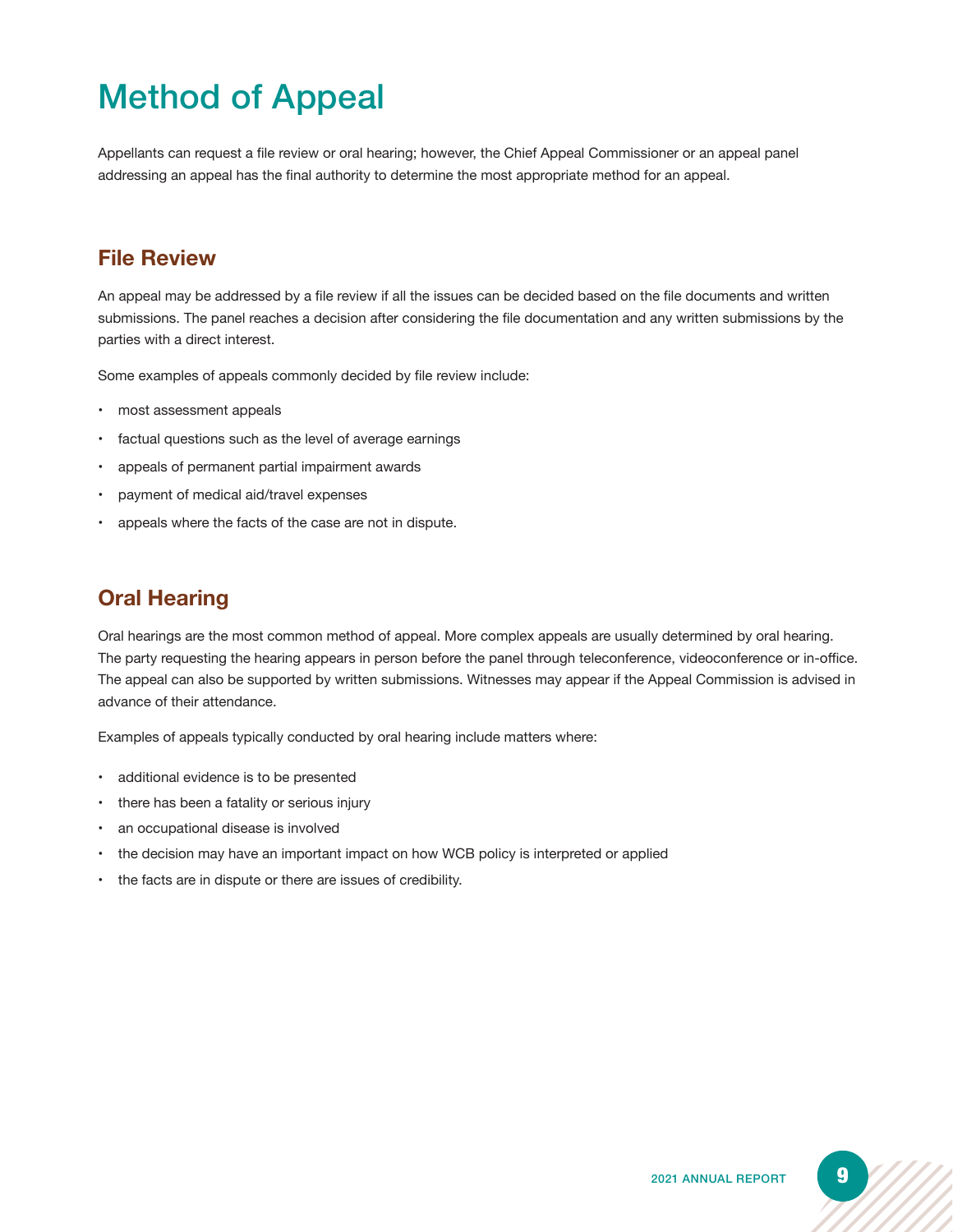# Method of Appeal

Appellants can request a file review or oral hearing; however, the Chief Appeal Commissioner or an appeal panel addressing an appeal has the final authority to determine the most appropriate method for an appeal.

### **File Review**

An appeal may be addressed by a file review if all the issues can be decided based on the file documents and written submissions. The panel reaches a decision after considering the file documentation and any written submissions by the parties with a direct interest.

Some examples of appeals commonly decided by file review include:

- most assessment appeals
- factual questions such as the level of average earnings
- appeals of permanent partial impairment awards
- payment of medical aid/travel expenses
- appeals where the facts of the case are not in dispute.

### **Oral Hearing**

Oral hearings are the most common method of appeal. More complex appeals are usually determined by oral hearing. The party requesting the hearing appears in person before the panel through teleconference, videoconference or in-office. The appeal can also be supported by written submissions. Witnesses may appear if the Appeal Commission is advised in advance of their attendance.

Examples of appeals typically conducted by oral hearing include matters where:

- additional evidence is to be presented
- there has been a fatality or serious injury
- an occupational disease is involved
- the decision may have an important impact on how WCB policy is interpreted or applied
- the facts are in dispute or there are issues of credibility.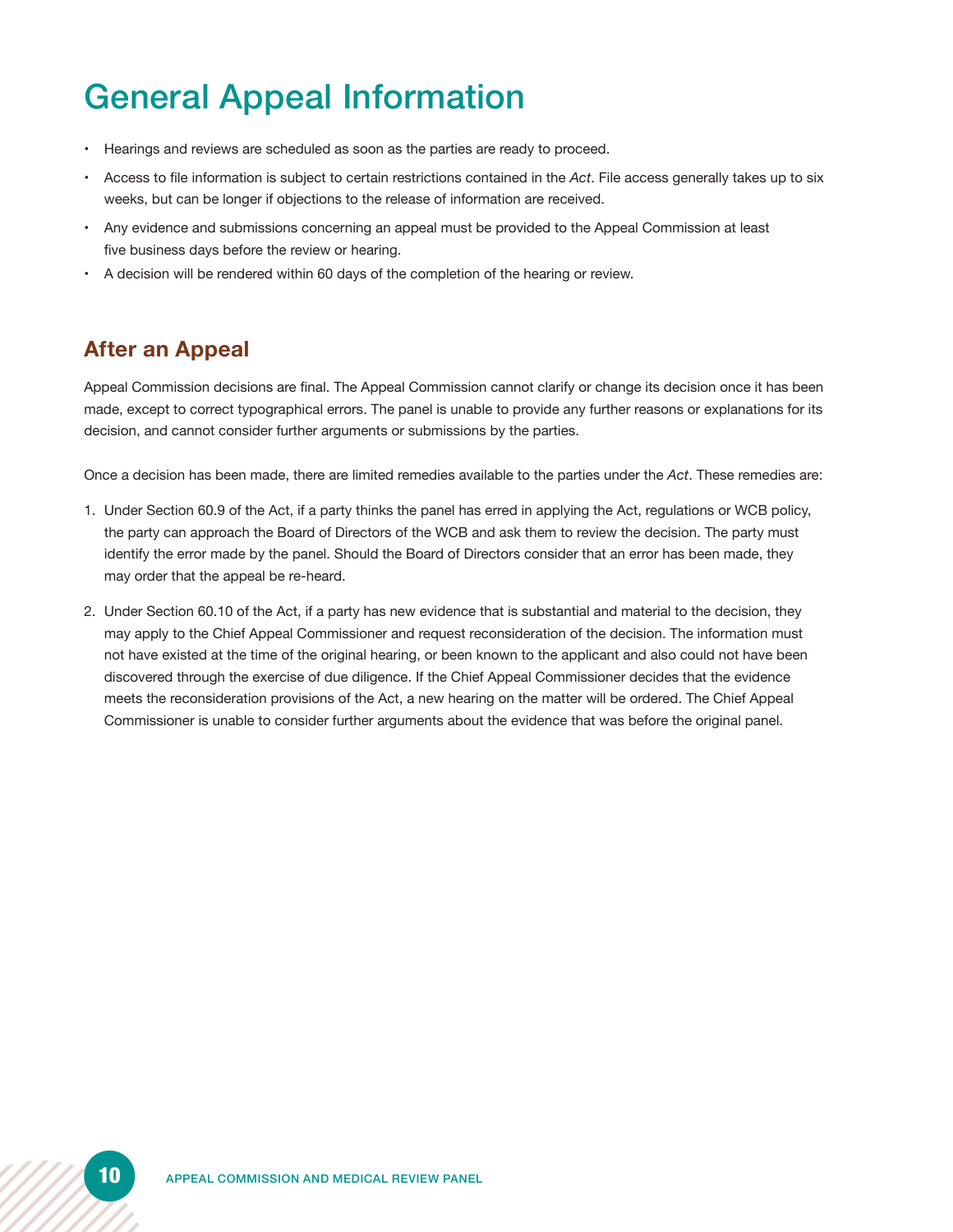# General Appeal Information

- Hearings and reviews are scheduled as soon as the parties are ready to proceed.
- Access to file information is subject to certain restrictions contained in the *Act*. File access generally takes up to six weeks, but can be longer if objections to the release of information are received.
- Any evidence and submissions concerning an appeal must be provided to the Appeal Commission at least five business days before the review or hearing.
- A decision will be rendered within 60 days of the completion of the hearing or review.

### **After an Appeal**

Appeal Commission decisions are final. The Appeal Commission cannot clarify or change its decision once it has been made, except to correct typographical errors. The panel is unable to provide any further reasons or explanations for its decision, and cannot consider further arguments or submissions by the parties.

Once a decision has been made, there are limited remedies available to the parties under the *Act*. These remedies are:

- 1. Under Section 60.9 of the Act, if a party thinks the panel has erred in applying the Act, regulations or WCB policy, the party can approach the Board of Directors of the WCB and ask them to review the decision. The party must identify the error made by the panel. Should the Board of Directors consider that an error has been made, they may order that the appeal be re-heard.
- 2. Under Section 60.10 of the Act, if a party has new evidence that is substantial and material to the decision, they may apply to the Chief Appeal Commissioner and request reconsideration of the decision. The information must not have existed at the time of the original hearing, or been known to the applicant and also could not have been discovered through the exercise of due diligence. If the Chief Appeal Commissioner decides that the evidence meets the reconsideration provisions of the Act, a new hearing on the matter will be ordered. The Chief Appeal Commissioner is unable to consider further arguments about the evidence that was before the original panel.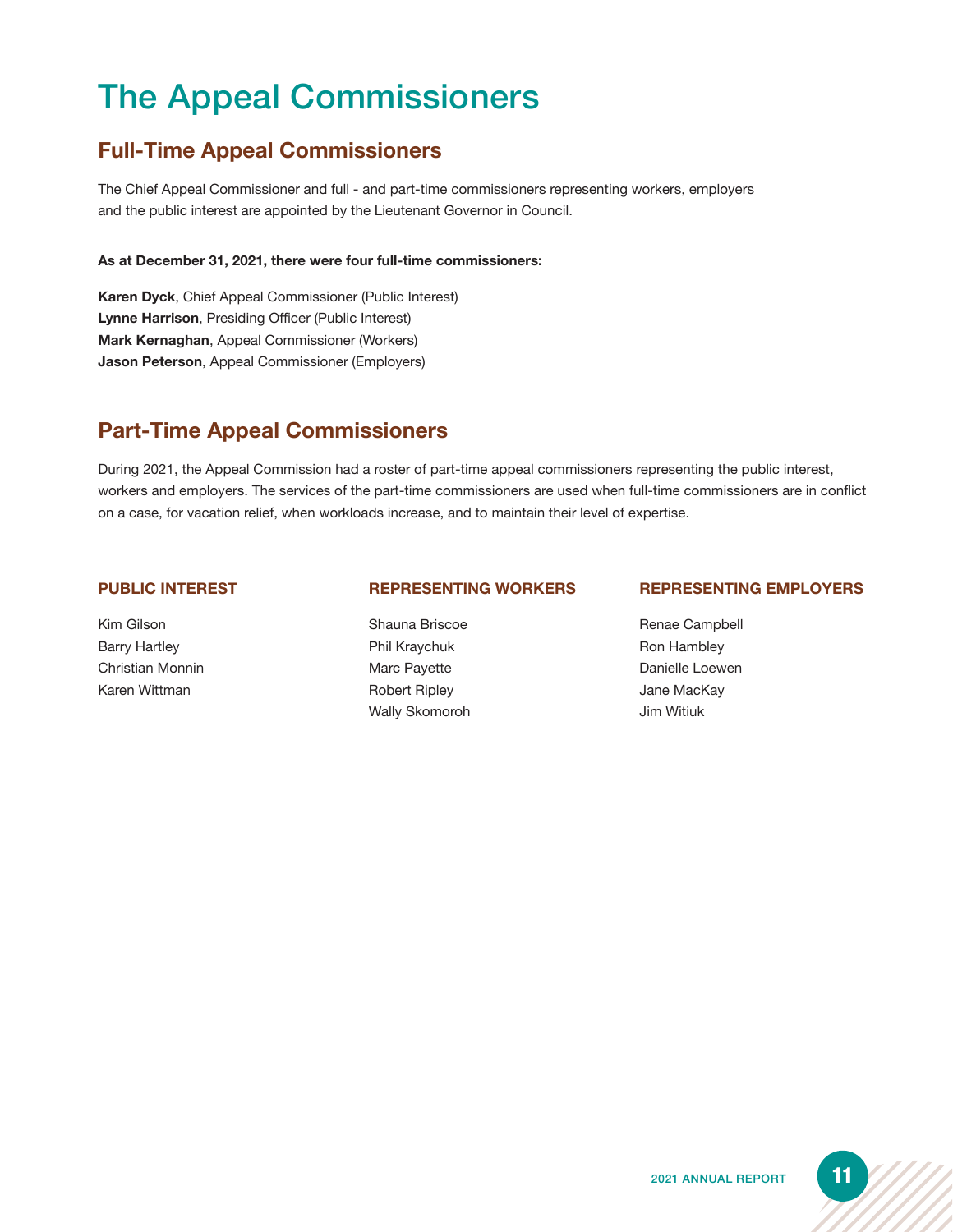# The Appeal Commissioners

### **Full-Time Appeal Commissioners**

The Chief Appeal Commissioner and full - and part-time commissioners representing workers, employers and the public interest are appointed by the Lieutenant Governor in Council.

#### **As at December 31, 2021, there were four full-time commissioners:**

**Karen Dyck**, Chief Appeal Commissioner (Public Interest) **Lynne Harrison**, Presiding Officer (Public Interest) **Mark Kernaghan**, Appeal Commissioner (Workers) **Jason Peterson**, Appeal Commissioner (Employers)

### **Part-Time Appeal Commissioners**

During 2021, the Appeal Commission had a roster of part-time appeal commissioners representing the public interest, workers and employers. The services of the part-time commissioners are used when full-time commissioners are in conflict on a case, for vacation relief, when workloads increase, and to maintain their level of expertise.

#### **PUBLIC INTEREST**

Kim Gilson Barry Hartley Christian Monnin Karen Wittman

#### **REPRESENTING WORKERS**

Shauna Briscoe Phil Kraychuk Marc Payette Robert Ripley Wally Skomoroh

#### **REPRESENTING EMPLOYERS**

Renae Campbell Ron Hambley Danielle Loewen Jane MacKay Jim Witiuk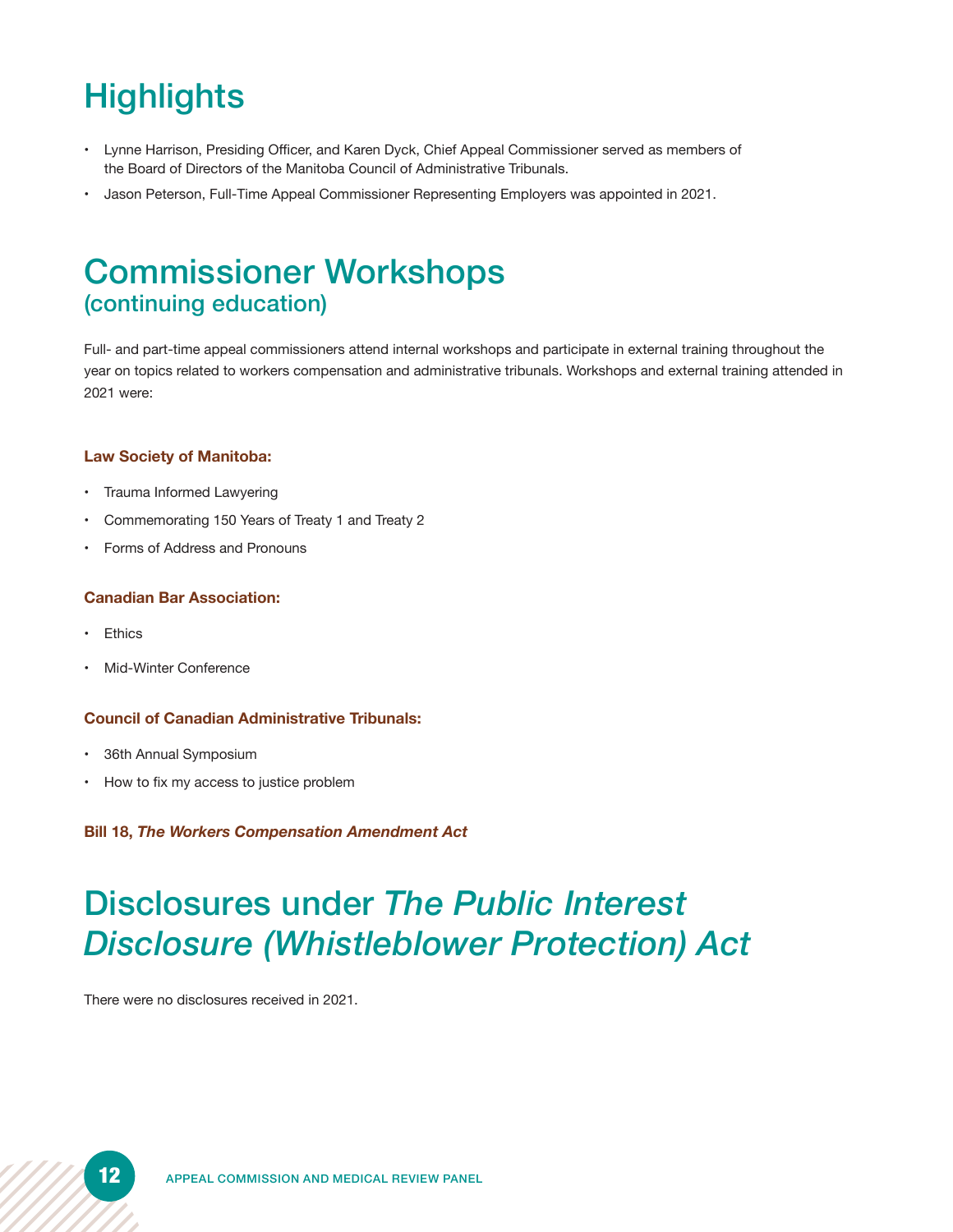# **Highlights**

- Lynne Harrison, Presiding Officer, and Karen Dyck, Chief Appeal Commissioner served as members of the Board of Directors of the Manitoba Council of Administrative Tribunals.
- Jason Peterson, Full-Time Appeal Commissioner Representing Employers was appointed in 2021.

### Commissioner Workshops (continuing education)

Full- and part-time appeal commissioners attend internal workshops and participate in external training throughout the year on topics related to workers compensation and administrative tribunals. Workshops and external training attended in 2021 were:

#### **Law Society of Manitoba:**

- Trauma Informed Lawyering
- Commemorating 150 Years of Treaty 1 and Treaty 2
- Forms of Address and Pronouns

#### **Canadian Bar Association:**

- **Ethics**
- Mid-Winter Conference

#### **Council of Canadian Administrative Tribunals:**

- 36th Annual Symposium
- How to fix my access to justice problem

#### **Bill 18,** *The Workers Compensation Amendment Act*

# Disclosures under *The Public Interest Disclosure (Whistleblower Protection) Act*

There were no disclosures received in 2021.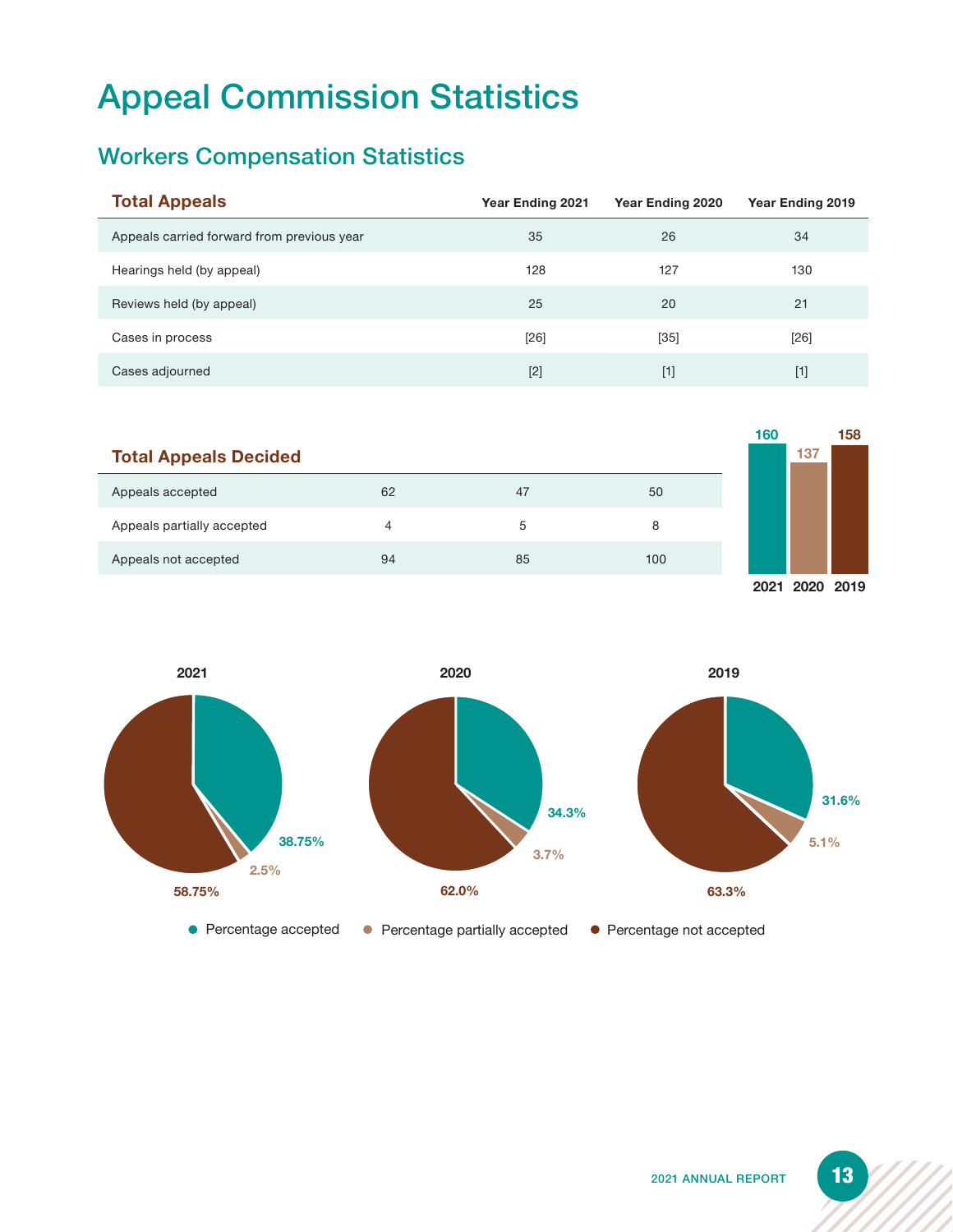# Appeal Commission Statistics

### Workers Compensation Statistics

| <b>Total Appeals</b>                       | <b>Year Ending 2021</b> | Year Ending 2020 | Year Ending 2019 |
|--------------------------------------------|-------------------------|------------------|------------------|
| Appeals carried forward from previous year | 35                      | 26               | 34               |
| Hearings held (by appeal)                  | 128                     | 127              | 130              |
| Reviews held (by appeal)                   | 25                      | 20               | 21               |
| Cases in process                           | $[26]$                  | $[35]$           | [26]             |
| Cases adjourned                            | $[2]$                   | $[1]$            | $[1]$            |

|                              |    |    |     | 160 |     | 158 |
|------------------------------|----|----|-----|-----|-----|-----|
| <b>Total Appeals Decided</b> |    |    |     |     | 137 |     |
| Appeals accepted             | 62 | 47 | 50  |     |     |     |
| Appeals partially accepted   | 4  | 5  | 8   |     |     |     |
| Appeals not accepted         | 94 | 85 | 100 |     |     |     |
|                              |    |    |     |     |     |     |

**2021 2020 2019**

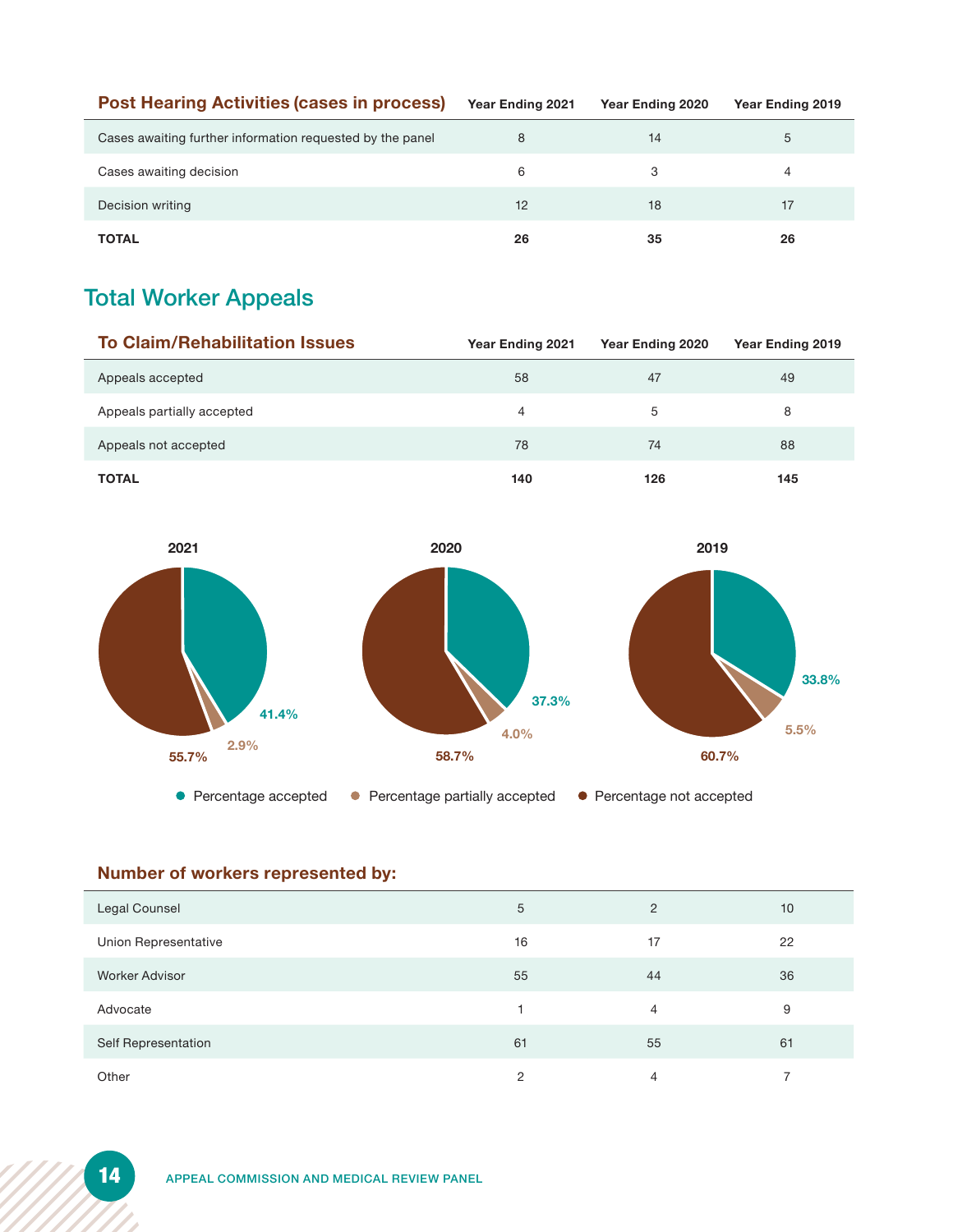| <b>Post Hearing Activities (cases in process)</b>         | Year Ending 2021 | Year Ending 2020 | Year Ending 2019 |
|-----------------------------------------------------------|------------------|------------------|------------------|
| Cases awaiting further information requested by the panel | 8                | 14               | 5                |
| Cases awaiting decision                                   | 6                | З                | 4                |
| Decision writing                                          | 12               | 18               | 17               |
| <b>TOTAL</b>                                              | 26               | 35               | 26               |

### Total Worker Appeals

| <b>To Claim/Rehabilitation Issues</b> | Year Ending 2021 | Year Ending 2020 |     |
|---------------------------------------|------------------|------------------|-----|
| Appeals accepted                      | 58               | 47               | 49  |
| Appeals partially accepted            | 4                | 5                | 8   |
| Appeals not accepted                  | 78               | 74               | 88  |
| <b>TOTAL</b>                          | 140              | 126              | 145 |







### **Number of workers represented by:**

| <b>Legal Counsel</b>  | 5  | 2  | 10 |
|-----------------------|----|----|----|
| Union Representative  | 16 | 17 | 22 |
| <b>Worker Advisor</b> | 55 | 44 | 36 |
| Advocate              |    | 4  | 9  |
| Self Representation   | 61 | 55 | 61 |
| Other                 | 2  | 4  |    |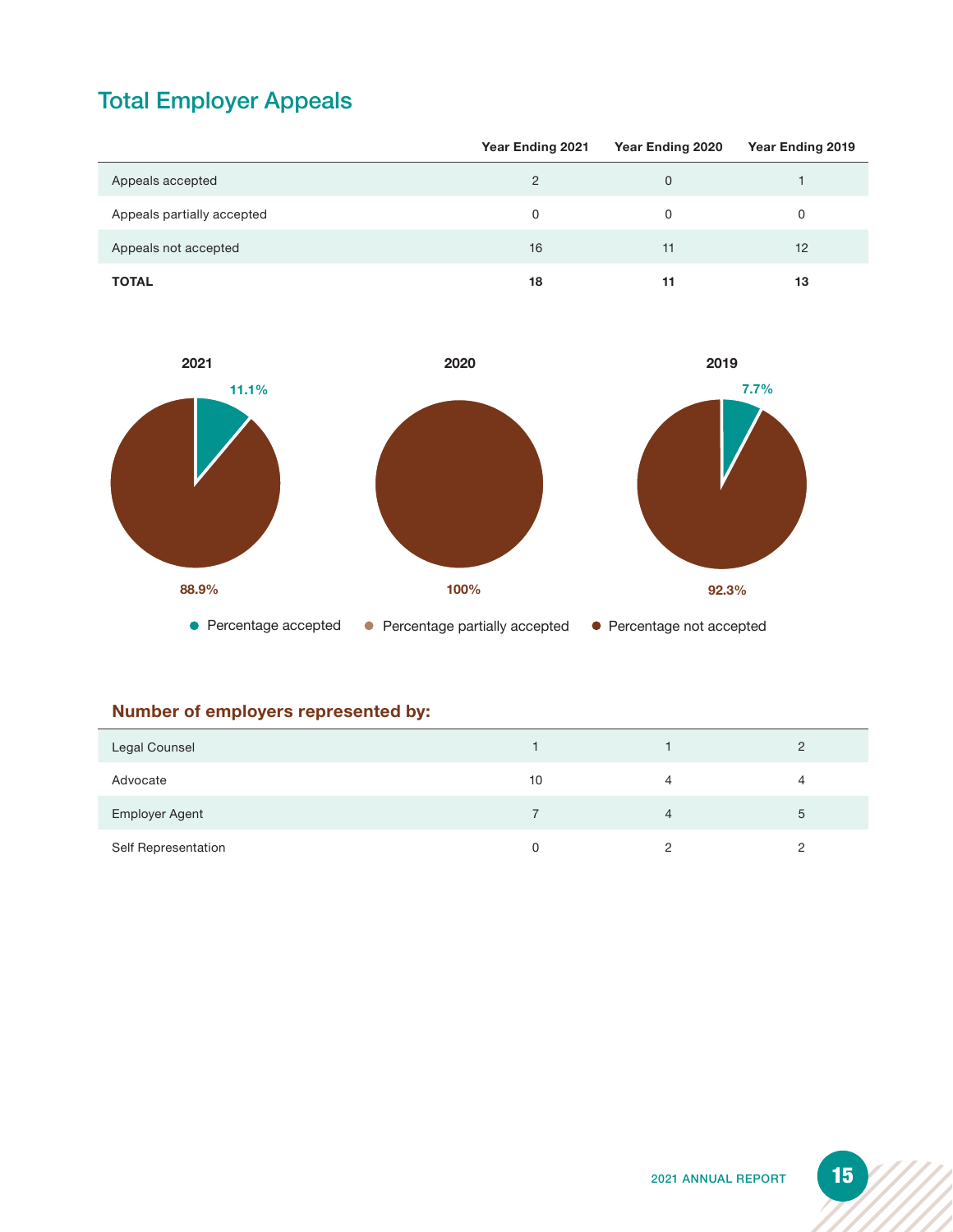### Total Employer Appeals

|                            | <b>Year Ending 2021</b> | Year Ending 2020 | Year Ending 2019 |
|----------------------------|-------------------------|------------------|------------------|
| Appeals accepted           | $\overline{2}$          | $\Omega$         |                  |
| Appeals partially accepted | 0                       | 0                | 0                |
| Appeals not accepted       | 16                      | 11               | 12               |
| <b>TOTAL</b>               | 18                      | 11               | 13               |



### **Number of employers represented by:**

| Legal Counsel         |    |   |
|-----------------------|----|---|
| Advocate              | 10 | 4 |
| <b>Employer Agent</b> |    | 5 |
| Self Representation   | 0  | ◠ |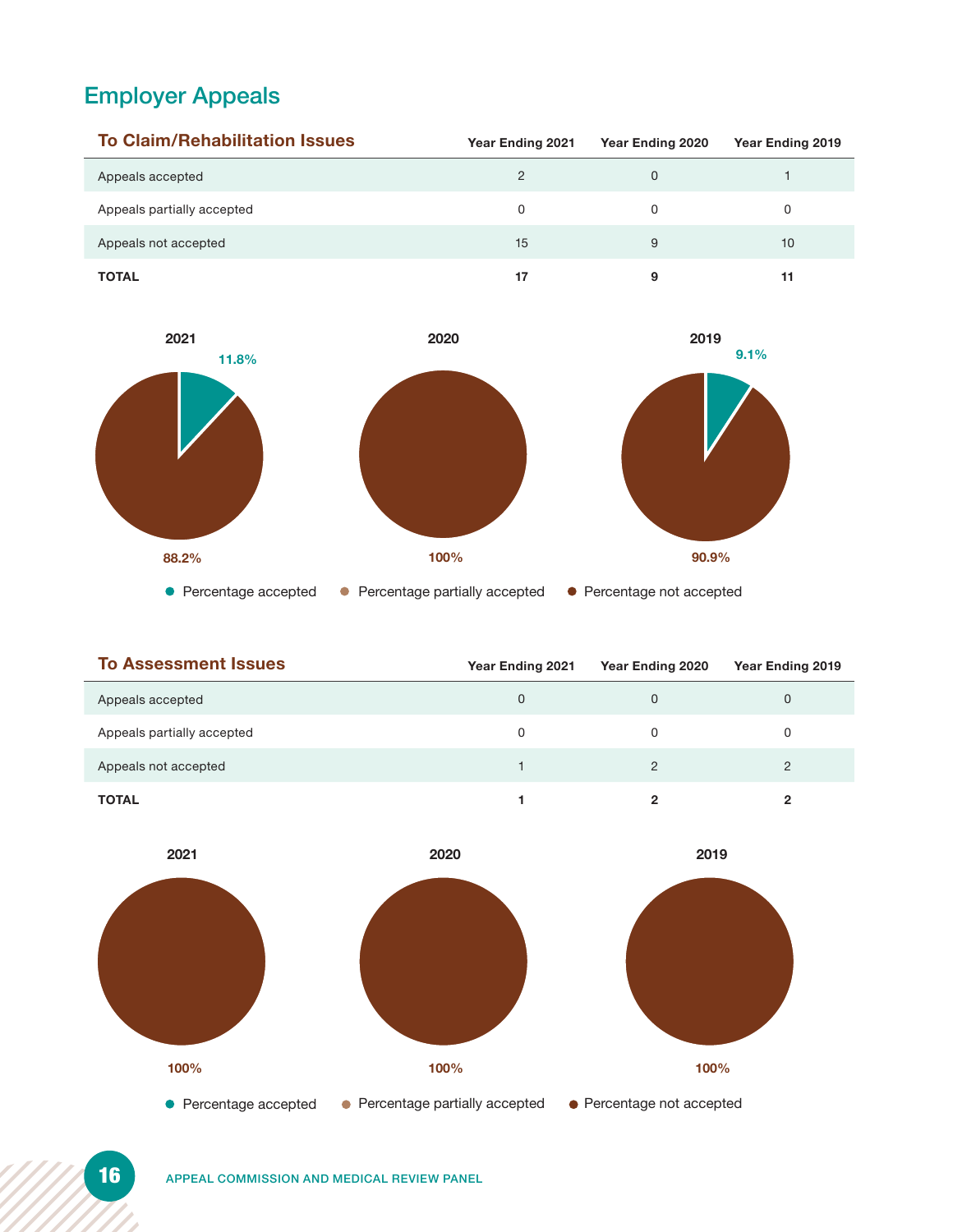### Employer Appeals

| <b>To Claim/Rehabilitation Issues</b> | <b>Year Ending 2021</b> | Year Ending 2020 | Year Ending 2019 |
|---------------------------------------|-------------------------|------------------|------------------|
| Appeals accepted                      | 2                       |                  |                  |
| Appeals partially accepted            | 0                       |                  | 0                |
| Appeals not accepted                  | 15                      | 9                | 10               |
| <b>TOTAL</b>                          | 17                      |                  | 11               |



| <b>To Assessment Issues</b> | <b>Year Ending 2021</b> | Year Ending 2020 | Year Ending 2019 |
|-----------------------------|-------------------------|------------------|------------------|
| Appeals accepted            | 0                       |                  | $\mathbf 0$      |
| Appeals partially accepted  | 0                       |                  |                  |
| Appeals not accepted        |                         |                  | 2                |
| <b>TOTAL</b>                |                         |                  |                  |

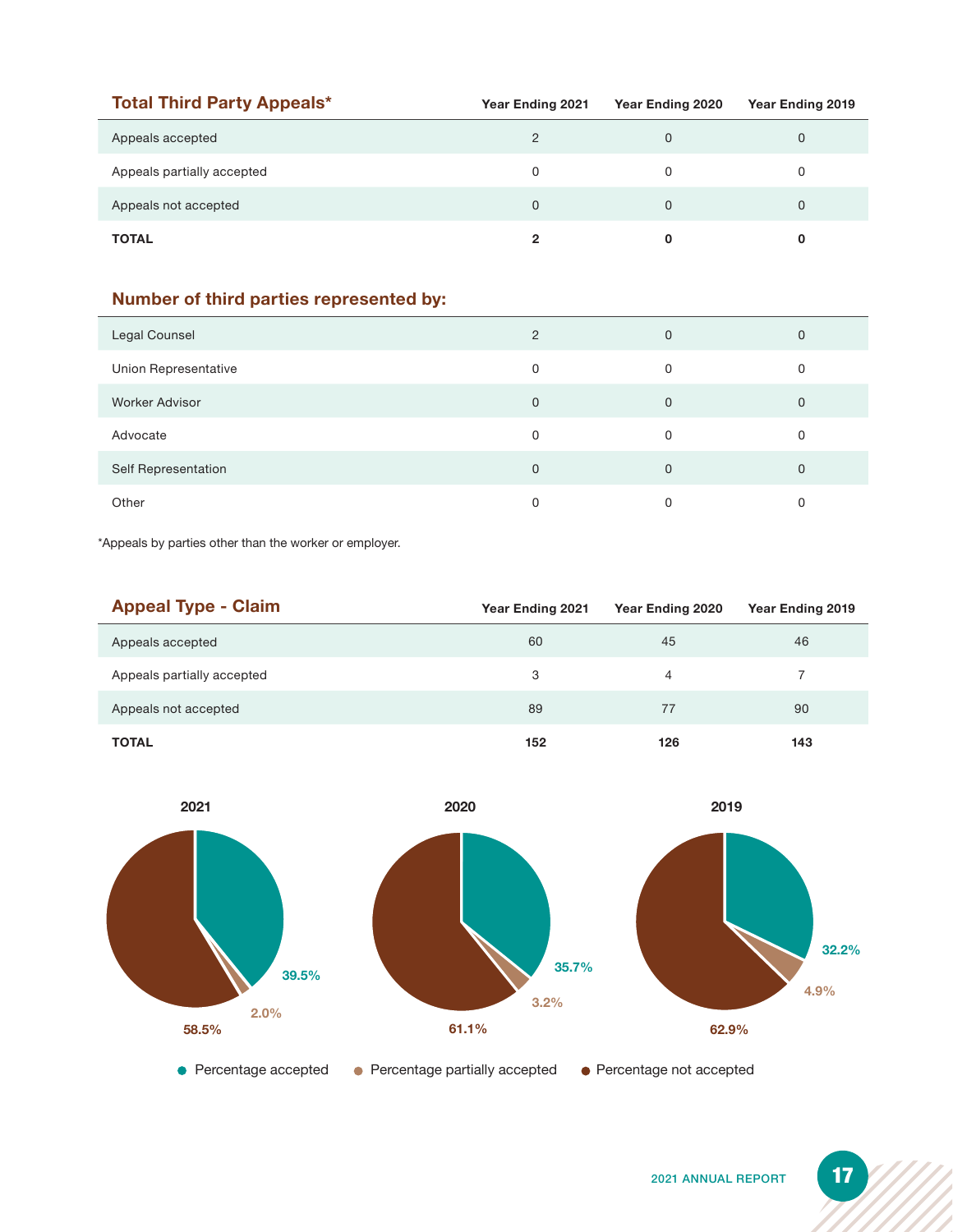| <b>Total Third Party Appeals*</b> | Year Ending 2021 | Year Ending 2020 | Year Ending 2019 |
|-----------------------------------|------------------|------------------|------------------|
| Appeals accepted                  | 2                | O                | 0                |
| Appeals partially accepted        | 0                |                  | 0                |
| Appeals not accepted              | 0                |                  | 0                |
| <b>TOTAL</b>                      | 2                |                  |                  |

### **Number of third parties represented by:**

| Legal Counsel        | $\overline{2}$ | $\mathbf{0}$ | 0        |
|----------------------|----------------|--------------|----------|
| Union Representative | 0              | $\Omega$     | 0        |
| Worker Advisor       | 0              | $\mathbf{0}$ | 0        |
| Advocate             | 0              | $\Omega$     | O        |
| Self Representation  | 0              | $\Omega$     | $\Omega$ |
| Other                | 0              |              |          |

\*Appeals by parties other than the worker or employer.

| <b>Appeal Type - Claim</b> | Year Ending 2021 | Year Ending 2020 | Year Ending 2019 |
|----------------------------|------------------|------------------|------------------|
| Appeals accepted           | 60               | 45               | 46               |
| Appeals partially accepted | 3                | 4                |                  |
| Appeals not accepted       | 89               | 77               | 90               |
| <b>TOTAL</b>               | 152              | 126              | 143              |

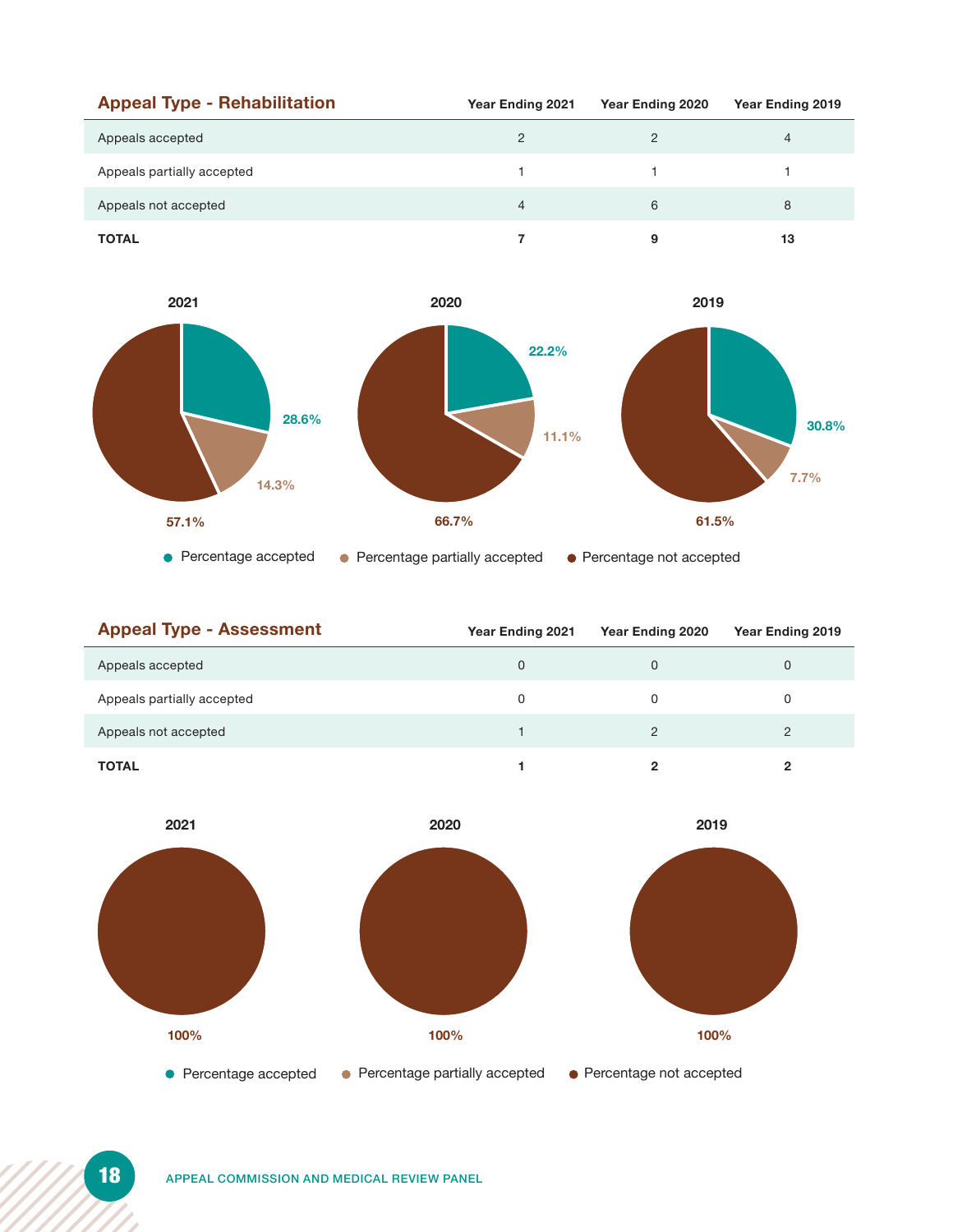| <b>Appeal Type - Rehabilitation</b> | <b>Year Ending 2021</b> | Year Ending 2020 | Year Ending 2019 |
|-------------------------------------|-------------------------|------------------|------------------|
| Appeals accepted                    | 2                       |                  | 4                |
| Appeals partially accepted          |                         |                  |                  |
| Appeals not accepted                | 4                       | 6                | 8                |
| <b>TOTAL</b>                        |                         |                  | 13               |



| <b>Appeal Type - Assessment</b> | <b>Year Ending 2021</b> | Year Ending 2020 | Year Ending 2019 |
|---------------------------------|-------------------------|------------------|------------------|
| Appeals accepted                | 0                       |                  | 0                |
| Appeals partially accepted      | 0                       |                  | 0                |
| Appeals not accepted            |                         |                  | 2                |
| <b>TOTAL</b>                    |                         | ິ                | 2                |

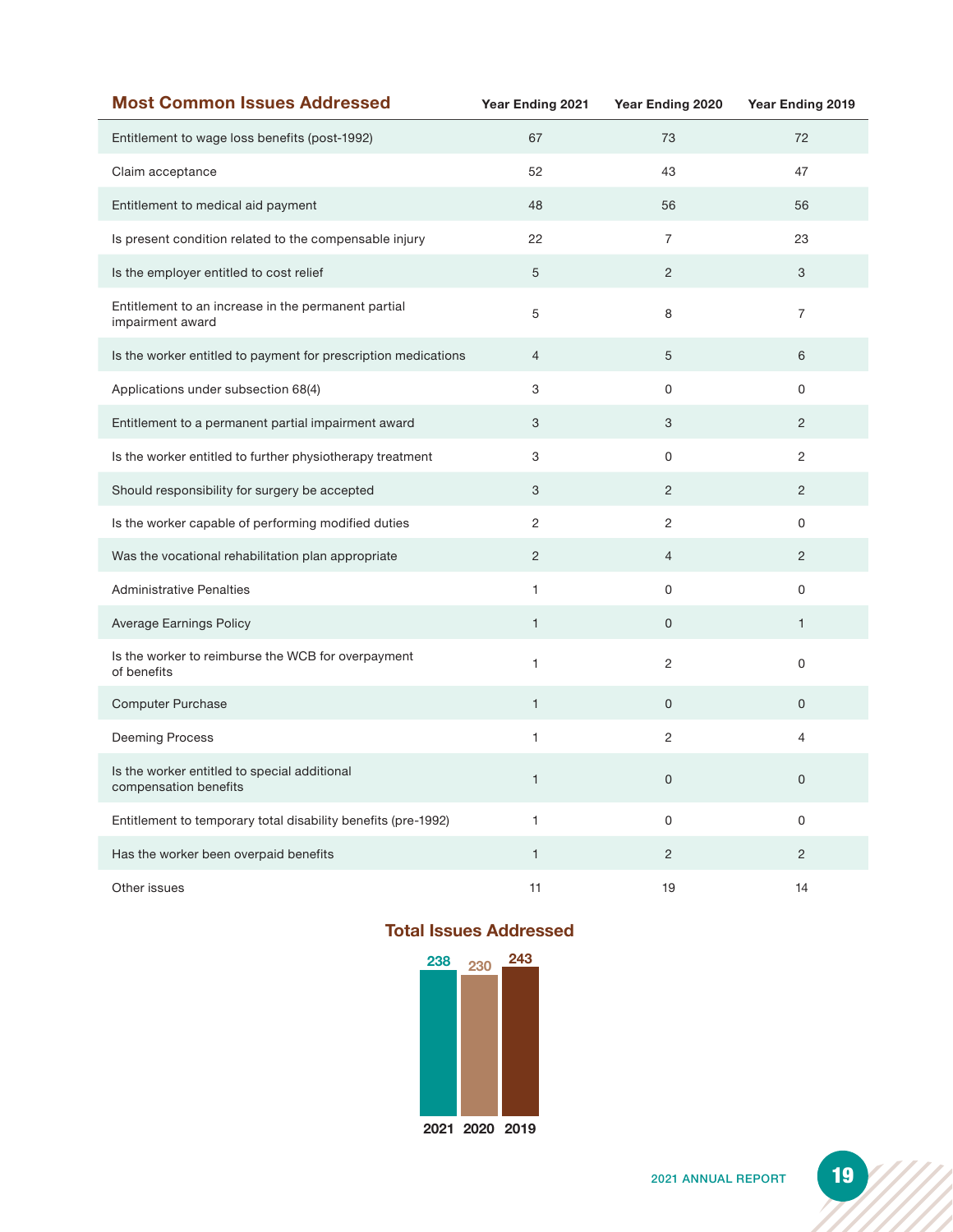| <b>Most Common Issues Addressed</b>                                     | Year Ending 2021 | Year Ending 2020 | Year Ending 2019 |
|-------------------------------------------------------------------------|------------------|------------------|------------------|
| Entitlement to wage loss benefits (post-1992)                           | 67               | 73               | 72               |
| Claim acceptance                                                        | 52               | 43               | 47               |
| Entitlement to medical aid payment                                      | 48               | 56               | 56               |
| Is present condition related to the compensable injury                  | 22               | $\overline{7}$   | 23               |
| Is the employer entitled to cost relief                                 | 5                | $\overline{c}$   | 3                |
| Entitlement to an increase in the permanent partial<br>impairment award | 5                | 8                | $\overline{7}$   |
| Is the worker entitled to payment for prescription medications          | $\overline{4}$   | 5                | 6                |
| Applications under subsection 68(4)                                     | 3                | 0                | 0                |
| Entitlement to a permanent partial impairment award                     | 3                | 3                | $\overline{c}$   |
| Is the worker entitled to further physiotherapy treatment               | 3                | $\Omega$         | $\overline{2}$   |
| Should responsibility for surgery be accepted                           | 3                | 2                | $\overline{2}$   |
| Is the worker capable of performing modified duties                     | $\overline{c}$   | $\mathbf{2}$     | 0                |
| Was the vocational rehabilitation plan appropriate                      | $\overline{2}$   | $\overline{4}$   | $\overline{c}$   |
| <b>Administrative Penalties</b>                                         | 1                | 0                | 0                |
| <b>Average Earnings Policy</b>                                          | $\mathbf{1}$     | $\mathsf{O}$     | $\mathbf{1}$     |
| Is the worker to reimburse the WCB for overpayment<br>of benefits       | $\mathbf{1}$     | $\mathbf{2}$     | 0                |
| <b>Computer Purchase</b>                                                | $\mathbf{1}$     | $\mathbf{O}$     | 0                |
| Deeming Process                                                         | $\mathbf{1}$     | 2                | 4                |
| Is the worker entitled to special additional<br>compensation benefits   | $\mathbf{1}$     | 0                | 0                |
| Entitlement to temporary total disability benefits (pre-1992)           | $\mathbf{1}$     | 0                | 0                |
| Has the worker been overpaid benefits                                   | $\mathbf{1}$     | $\overline{2}$   | $\overline{c}$   |
| Other issues                                                            | 11               | 19               | 14               |

### **Total Issues Addressed**



**2021 2020 2019**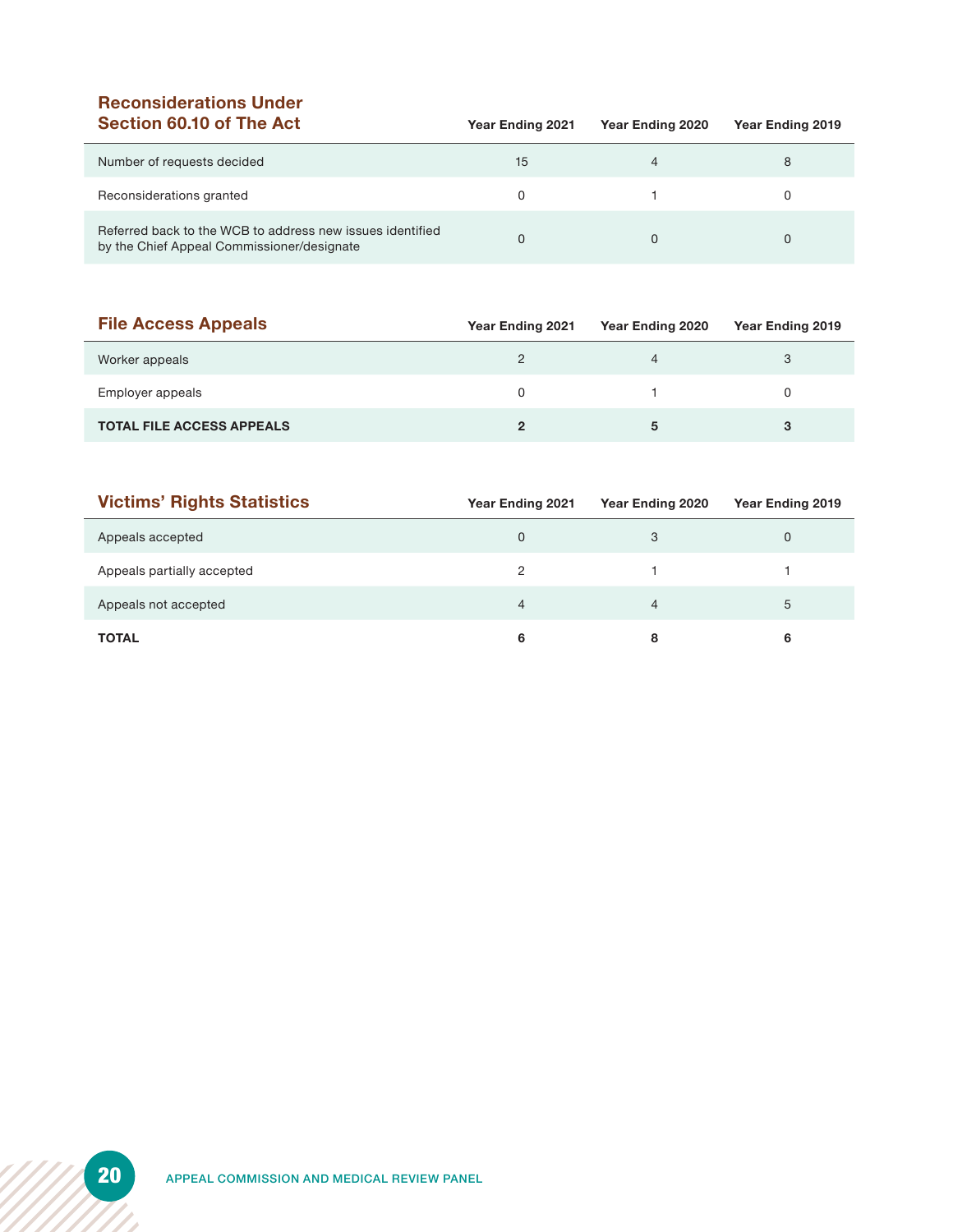# **Reconsiderations Under**

| Section 60.10 of The Act                                                                                | Year Ending 2021 | Year Ending 2020 | Year Ending 2019 |
|---------------------------------------------------------------------------------------------------------|------------------|------------------|------------------|
| Number of requests decided                                                                              | 15               |                  | 8                |
| Reconsiderations granted                                                                                | <sup>0</sup>     |                  |                  |
| Referred back to the WCB to address new issues identified<br>by the Chief Appeal Commissioner/designate |                  |                  |                  |

| <b>File Access Appeals</b>       | <b>Year Ending 2021</b> | Year Ending 2020 | Year Ending 2019 |
|----------------------------------|-------------------------|------------------|------------------|
| Worker appeals                   |                         |                  | 3                |
| Employer appeals                 | 0                       |                  |                  |
| <b>TOTAL FILE ACCESS APPEALS</b> |                         |                  |                  |

| <b>Victims' Rights Statistics</b> | Year Ending 2021 | Year Ending 2020 | Year Ending 2019 |
|-----------------------------------|------------------|------------------|------------------|
| Appeals accepted                  | 0                | 3                | 0                |
| Appeals partially accepted        | 2                |                  |                  |
| Appeals not accepted              | 4                |                  | 5                |
| <b>TOTAL</b>                      | 6                |                  |                  |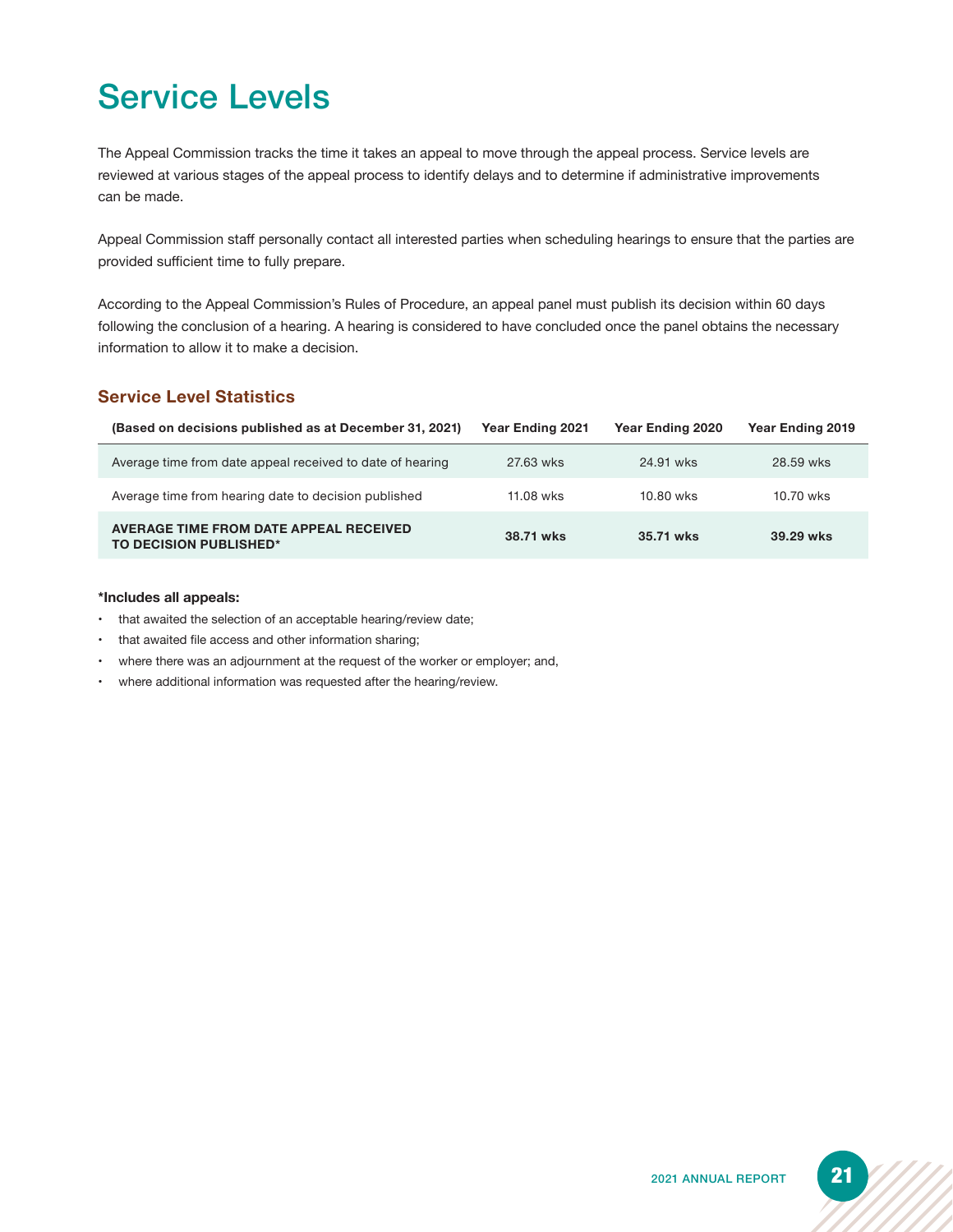# Service Levels

The Appeal Commission tracks the time it takes an appeal to move through the appeal process. Service levels are reviewed at various stages of the appeal process to identify delays and to determine if administrative improvements can be made.

Appeal Commission staff personally contact all interested parties when scheduling hearings to ensure that the parties are provided sufficient time to fully prepare.

According to the Appeal Commission's Rules of Procedure, an appeal panel must publish its decision within 60 days following the conclusion of a hearing. A hearing is considered to have concluded once the panel obtains the necessary information to allow it to make a decision.

#### **Service Level Statistics**

| (Based on decisions published as at December 31, 2021)           | <b>Year Ending 2021</b> | Year Ending 2020 | <b>Year Ending 2019</b> |
|------------------------------------------------------------------|-------------------------|------------------|-------------------------|
| Average time from date appeal received to date of hearing        | 27.63 wks               | 24.91 wks        | 28.59 wks               |
| Average time from hearing date to decision published             | 11.08 wks               | 10.80 wks        | 10.70 wks               |
| AVERAGE TIME FROM DATE APPEAL RECEIVED<br>TO DECISION PUBLISHED* | 38.71 wks               | 35.71 wks        | 39.29 wks               |

#### **\*Includes all appeals:**

- that awaited the selection of an acceptable hearing/review date;
- that awaited file access and other information sharing;
- where there was an adjournment at the request of the worker or employer; and,
- where additional information was requested after the hearing/review.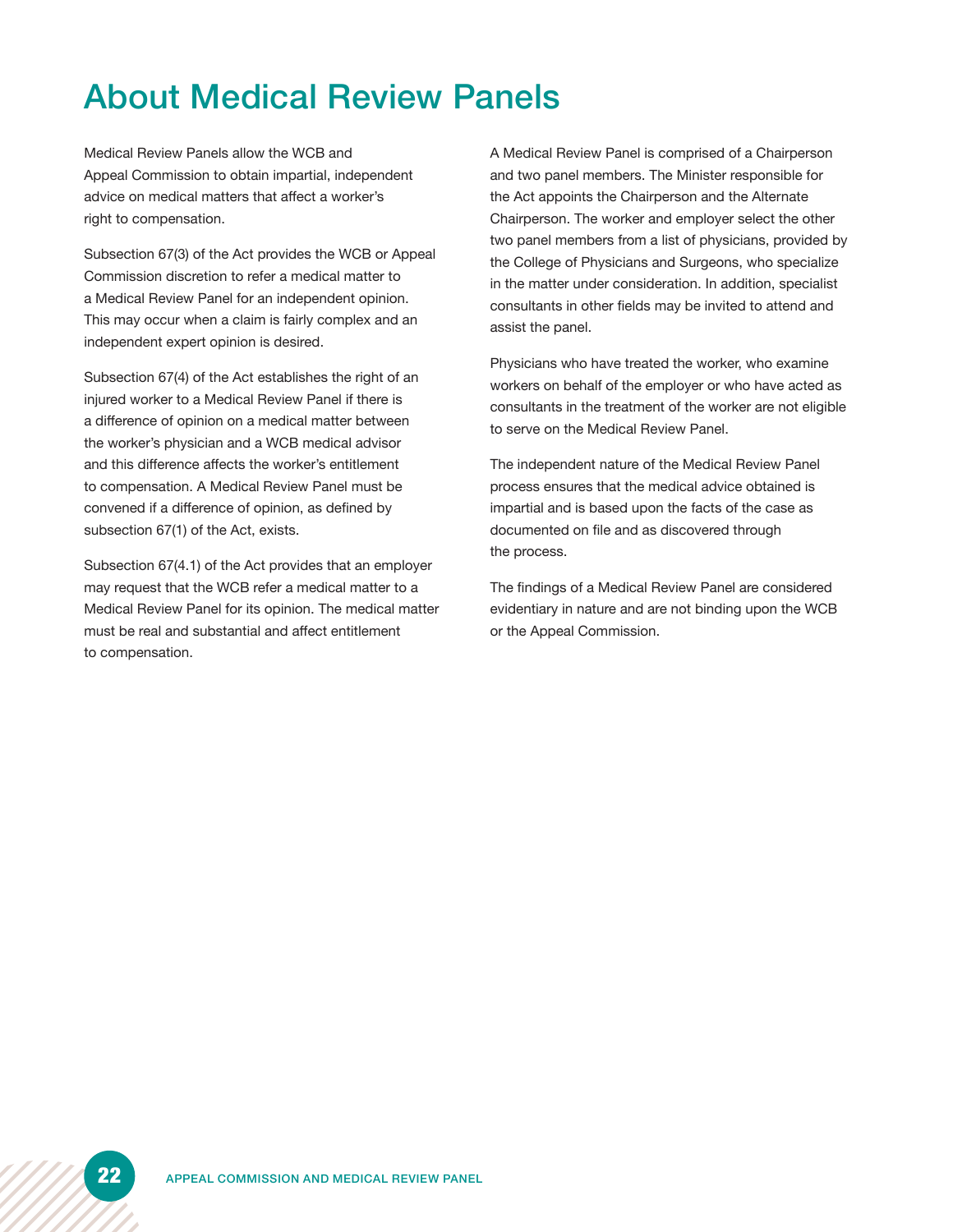# About Medical Review Panels

Medical Review Panels allow the WCB and Appeal Commission to obtain impartial, independent advice on medical matters that affect a worker's right to compensation.

Subsection 67(3) of the Act provides the WCB or Appeal Commission discretion to refer a medical matter to a Medical Review Panel for an independent opinion. This may occur when a claim is fairly complex and an independent expert opinion is desired.

Subsection 67(4) of the Act establishes the right of an injured worker to a Medical Review Panel if there is a difference of opinion on a medical matter between the worker's physician and a WCB medical advisor and this difference affects the worker's entitlement to compensation. A Medical Review Panel must be convened if a difference of opinion, as defined by subsection 67(1) of the Act, exists.

Subsection 67(4.1) of the Act provides that an employer may request that the WCB refer a medical matter to a Medical Review Panel for its opinion. The medical matter must be real and substantial and affect entitlement to compensation.

A Medical Review Panel is comprised of a Chairperson and two panel members. The Minister responsible for the Act appoints the Chairperson and the Alternate Chairperson. The worker and employer select the other two panel members from a list of physicians, provided by the College of Physicians and Surgeons, who specialize in the matter under consideration. In addition, specialist consultants in other fields may be invited to attend and assist the panel.

Physicians who have treated the worker, who examine workers on behalf of the employer or who have acted as consultants in the treatment of the worker are not eligible to serve on the Medical Review Panel.

The independent nature of the Medical Review Panel process ensures that the medical advice obtained is impartial and is based upon the facts of the case as documented on file and as discovered through the process.

The findings of a Medical Review Panel are considered evidentiary in nature and are not binding upon the WCB or the Appeal Commission.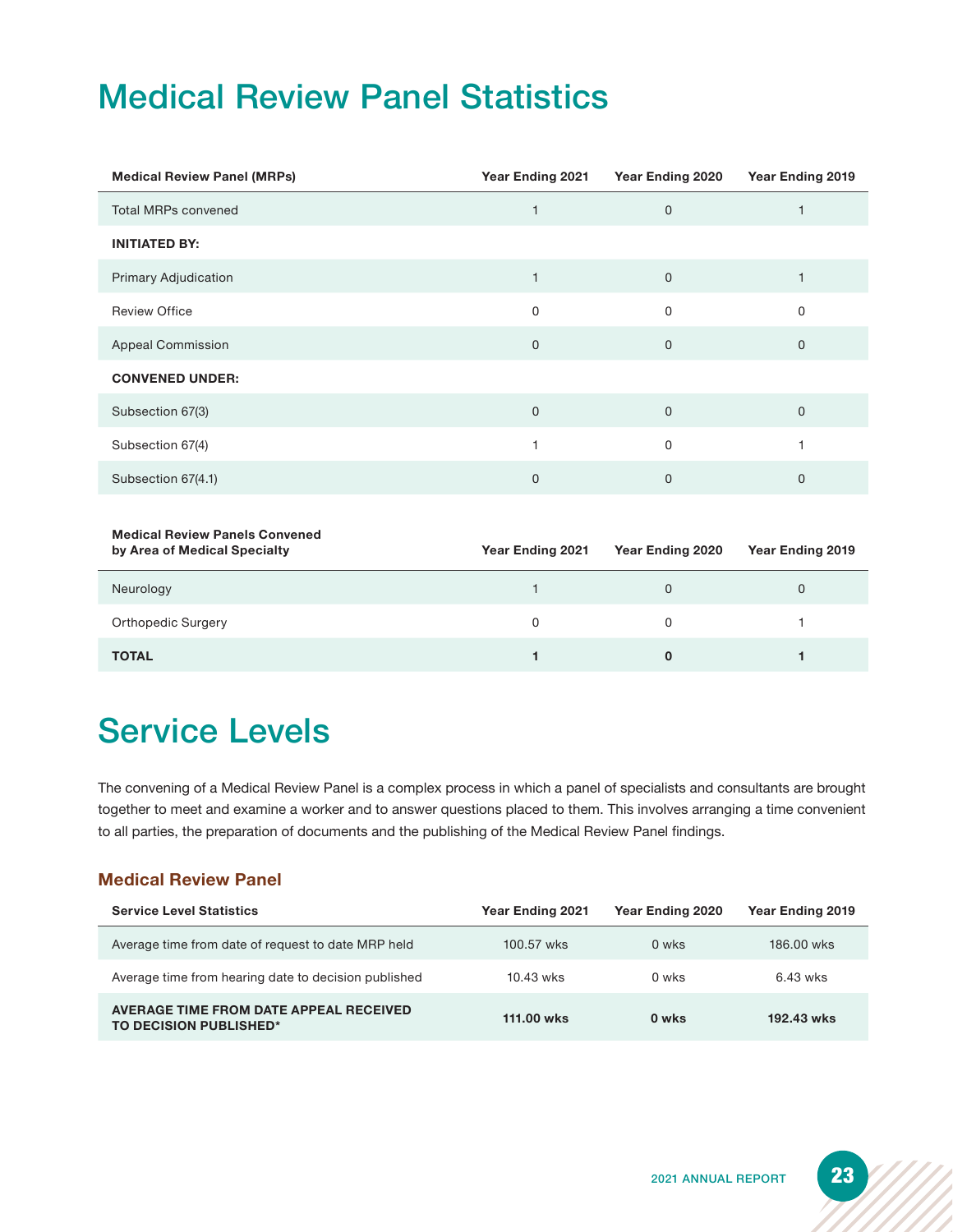# Medical Review Panel Statistics

| <b>Medical Review Panel (MRPs)</b> | Year Ending 2021 | Year Ending 2020 | Year Ending 2019 |
|------------------------------------|------------------|------------------|------------------|
| <b>Total MRPs convened</b>         |                  | $\mathbf 0$      |                  |
| <b>INITIATED BY:</b>               |                  |                  |                  |
| <b>Primary Adjudication</b>        |                  | $\mathbf 0$      |                  |
| <b>Review Office</b>               | 0                | 0                | 0                |
| <b>Appeal Commission</b>           | 0                | $\mathbf 0$      | $\mathbf 0$      |
| <b>CONVENED UNDER:</b>             |                  |                  |                  |
| Subsection 67(3)                   | 0                | $\mathbf 0$      | 0                |
| Subsection 67(4)                   |                  | $\mathbf 0$      |                  |
| Subsection 67(4.1)                 | 0                | $\mathbf 0$      | $\mathbf 0$      |

### **Medical Review Panels Convened**

| by Area of Medical Opecialty | <b>IGAL LINING LOL I</b> | <b>IGGI LINIIIY LULU</b> | <b>IGAL LINING LOTS</b> |
|------------------------------|--------------------------|--------------------------|-------------------------|
| Neurology                    |                          |                          |                         |
| <b>Orthopedic Surgery</b>    | 0                        |                          |                         |
| <b>TOTAL</b>                 |                          |                          |                         |

## Service Levels

The convening of a Medical Review Panel is a complex process in which a panel of specialists and consultants are brought together to meet and examine a worker and to answer questions placed to them. This involves arranging a time convenient to all parties, the preparation of documents and the publishing of the Medical Review Panel findings.

### **Medical Review Panel**

| <b>Service Level Statistics</b>                                  | <b>Year Ending 2021</b> | Year Ending 2020 | Year Ending 2019 |
|------------------------------------------------------------------|-------------------------|------------------|------------------|
| Average time from date of request to date MRP held               | 100.57 wks              | 0 wks            | 186,00 wks       |
| Average time from hearing date to decision published             | 10.43 wks               | 0 wks            | 6.43 wks         |
| AVERAGE TIME FROM DATE APPEAL RECEIVED<br>TO DECISION PUBLISHED* | 111.00 wks              | 0 wks            | 192.43 wks       |

**by Area of Medical Specialty Year Ending 2021 Year Ending 2020 Year Ending 2019**